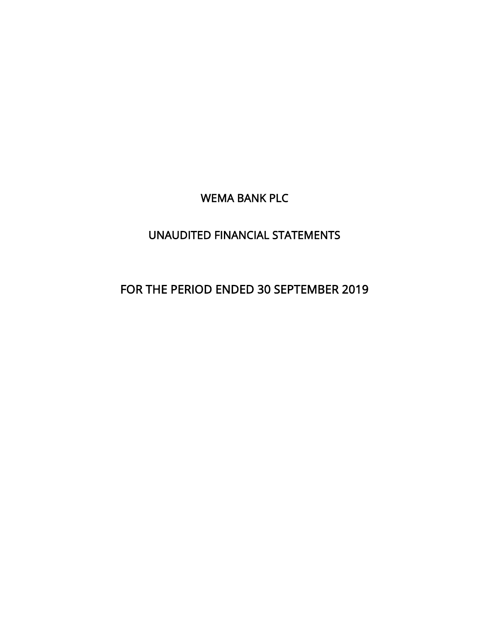WEMA BANK PLC

## UNAUDITED FINANCIAL STATEMENTS

## FOR THE PERIOD ENDED 30 SEPTEMBER 2019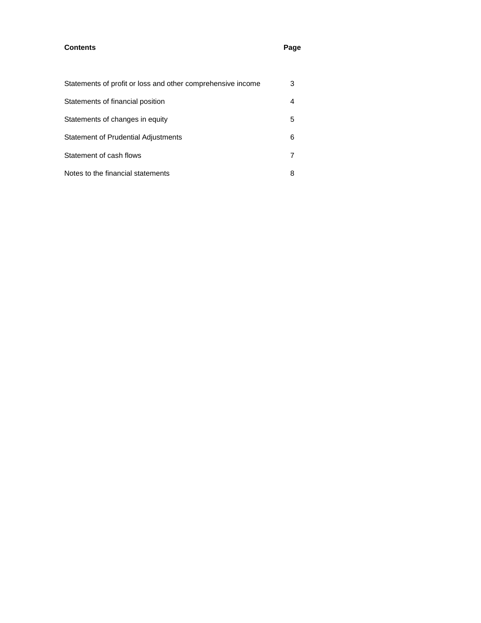## **Contents Page**

| Statements of profit or loss and other comprehensive income | 3  |
|-------------------------------------------------------------|----|
| Statements of financial position                            | 4  |
| Statements of changes in equity                             | 5. |
| Statement of Prudential Adjustments                         | 6  |
| Statement of cash flows                                     |    |
| Notes to the financial statements                           | 8  |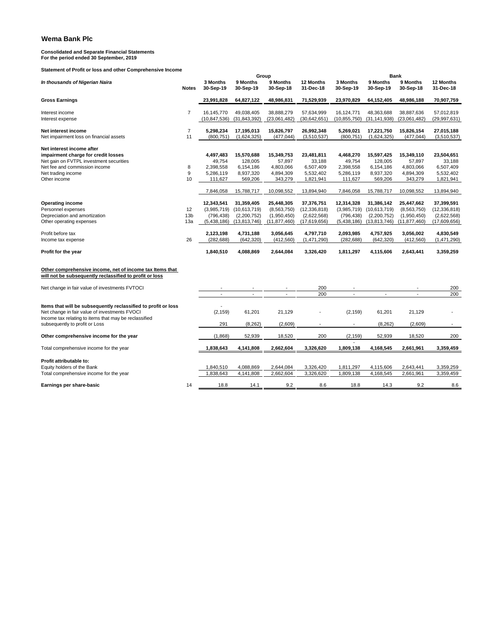**Consolidated and Separate Financial Statements For the period ended 30 September, 2019**

**Statement of Profit or loss and other Comprehensive Income**

| <u>olalonioni of Floht of 1033 and other Oompr</u>                                                                  |                 |                        |                | Group          |                |                | <b>Bank</b>    |                          |                |
|---------------------------------------------------------------------------------------------------------------------|-----------------|------------------------|----------------|----------------|----------------|----------------|----------------|--------------------------|----------------|
| In thousands of Nigerian Naira                                                                                      |                 | 3 Months               | 9 Months       | 9 Months       | 12 Months      | 3 Months       | 9 Months       | 9 Months                 | 12 Months      |
|                                                                                                                     | <b>Notes</b>    | 30-Sep-19              | 30-Sep-19      | 30-Sep-18      | 31-Dec-18      | 30-Sep-19      | 30-Sep-19      | 30-Sep-18                | 31-Dec-18      |
| <b>Gross Earnings</b>                                                                                               |                 | 23,991,828             | 64,827,122     | 48,986,831     | 71,529,939     | 23,970,829     | 64,152,405     | 48,986,188               | 70,907,759     |
| Interest income                                                                                                     | $\overline{7}$  | 16,145,770             | 49,038,405     | 38,888,279     | 57,634,999     | 16,124,771     | 48,363,688     | 38,887,636               | 57,012,819     |
| Interest expense                                                                                                    |                 | (10, 847, 536)         | (31, 843, 392) | (23,061,482)   | (30, 642, 651) | (10, 855, 750) | (31, 141, 938) | (23,061,482)             | (29, 997, 631) |
| Net interest income                                                                                                 | $\overline{7}$  | 5,298,234              | 17,195,013     | 15,826,797     | 26,992,348     | 5,269,021      | 17,221,750     | 15,826,154               | 27,015,188     |
| Net impairment loss on financial assets                                                                             | 11              | (800, 751)             | (1,624,325)    | (477, 044)     | (3,510,537)    | (800, 751)     | (1,624,325)    | (477, 044)               | (3,510,537)    |
| Net interest income after                                                                                           |                 |                        |                |                |                |                |                |                          |                |
| impairment charge for credit losses                                                                                 |                 | 4,497,483              | 15,570,688     | 15,349,753     | 23,481,811     | 4,468,270      | 15,597,425     | 15,349,110               | 23,504,651     |
| Net gain on FVTPL investment securities                                                                             |                 | 49,754                 | 128,005        | 57,897         | 33,188         | 49,754         | 128,005        | 57,897                   | 33,188         |
| Net fee and commission income                                                                                       | 8<br>9          | 2,398,558<br>5.286.119 | 6,154,186      | 4,803,066      | 6,507,409      | 2,398,558      | 6,154,186      | 4,803,066                | 6,507,409      |
| Net trading income<br>Other income                                                                                  |                 |                        | 8,937,320      | 4,894,309      | 5,532,402      | 5,286,119      | 8,937,320      | 4,894,309                | 5,532,402      |
|                                                                                                                     | 10              | 111,627                | 569,206        | 343,279        | 1,821,941      | 111,627        | 569,206        | 343,279                  | 1,821,941      |
|                                                                                                                     |                 | 7,846,058              | 15,788,717     | 10,098,552     | 13,894,940     | 7,846,058      | 15,788,717     | 10,098,552               | 13,894,940     |
| <b>Operating income</b>                                                                                             |                 | 12,343,541             | 31,359,405     | 25,448,305     | 37,376,751     | 12,314,328     | 31,386,142     | 25,447,662               | 37,399,591     |
| Personnel expenses                                                                                                  | 12              | (3,985,719)            | (10,613,719)   | (8,563,750)    | (12, 336, 818) | (3,985,719)    | (10,613,719)   | (8,563,750)              | (12, 336, 818) |
| Depreciation and amortization                                                                                       | 13 <sub>b</sub> | (796, 438)             | (2,200,752)    | (1,950,450)    | (2,622,568)    | (796, 438)     | (2,200,752)    | (1,950,450)              | (2,622,568)    |
| Other operating expenses                                                                                            | 13a             | (5,438,186)            | (13,813,746)   | (11, 877, 460) | (17,619,656)   | (5,438,186)    | (13,813,746)   | (11, 877, 460)           | (17,609,656)   |
|                                                                                                                     |                 |                        |                |                |                |                |                |                          |                |
| Profit before tax                                                                                                   |                 | 2,123,198              | 4,731,188      | 3,056,645      | 4,797,710      | 2,093,985      | 4,757,925      | 3,056,002                | 4,830,549      |
| Income tax expense                                                                                                  | 26              | (282, 688)             | (642, 320)     | (412, 560)     | (1,471,290)    | (282, 688)     | (642, 320)     | (412, 560)               | (1,471,290)    |
| Profit for the year                                                                                                 |                 | 1,840,510              | 4,088,869      | 2,644,084      | 3,326,420      | 1,811,297      | 4,115,606      | 2,643,441                | 3,359,259      |
|                                                                                                                     |                 |                        |                |                |                |                |                |                          |                |
| Other comprehensive income, net of income tax Items that<br>will not be subsequently reclassified to profit or loss |                 |                        |                |                |                |                |                |                          |                |
|                                                                                                                     |                 |                        |                |                |                |                |                |                          |                |
| Net change in fair value of investments FVTOCI                                                                      |                 |                        |                |                | 200            |                |                |                          | 200            |
|                                                                                                                     |                 | $\overline{a}$         | $\sim$         | $\overline{a}$ | 200            | $\mathbf{r}$   | $\mathbf{r}$   | $\overline{\phantom{a}}$ | 200            |
| Items that will be subsequently reclassified to profit or loss                                                      |                 |                        |                |                |                |                |                |                          |                |
| Net change in fair value of investments FVOCI<br>Income tax relating to items that may be reclassified              |                 | (2, 159)               | 61,201         | 21,129         |                | (2, 159)       | 61,201         | 21,129                   |                |
| subsequently to profit or Loss                                                                                      |                 | 291                    | (8, 262)       | (2,609)        |                |                | (8, 262)       | (2,609)                  |                |
| Other comprehensive income for the year                                                                             |                 | (1,868)                | 52,939         | 18,520         | 200            | (2, 159)       | 52,939         | 18,520                   | 200            |
| Total comprehensive income for the year                                                                             |                 | 1,838,643              | 4,141,808      | 2,662,604      | 3,326,620      | 1,809,138      | 4,168,545      | 2,661,961                | 3,359,459      |
| Profit attributable to:                                                                                             |                 |                        |                |                |                |                |                |                          |                |
| Equity holders of the Bank                                                                                          |                 | 1,840,510              | 4,088,869      | 2,644,084      | 3,326,420      | 1,811,297      | 4,115,606      | 2,643,441                | 3,359,259      |
| Total comprehensive income for the year                                                                             |                 | 1,838,643              | 4,141,808      | 2,662,604      | 3,326,620      | 1,809,138      | 4,168,545      | 2,661,961                | 3,359,459      |
| Earnings per share-basic                                                                                            | 14              | 18.8                   | 14.1           | 9.2            | 8.6            | 18.8           | 14.3           | 9.2                      | 8.6            |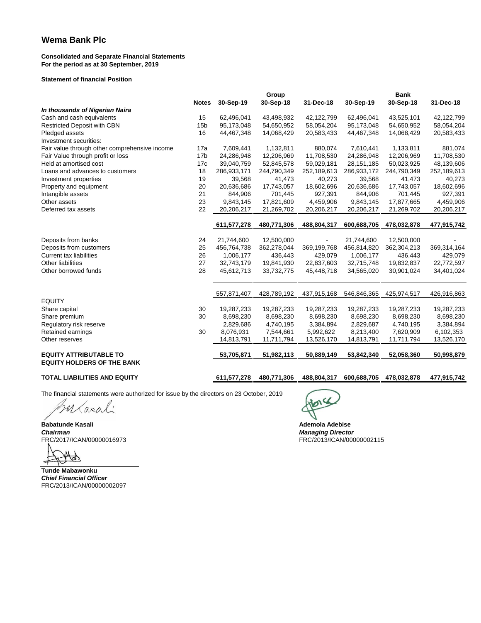#### **Consolidated and Separate Financial Statements For the period as at 30 September, 2019**

#### **Statement of financial Position**

|                                               |                 |             | Group       |             |             | <b>Bank</b> |             |
|-----------------------------------------------|-----------------|-------------|-------------|-------------|-------------|-------------|-------------|
|                                               | <b>Notes</b>    | 30-Sep-19   | 30-Sep-18   | 31-Dec-18   | 30-Sep-19   | 30-Sep-18   | 31-Dec-18   |
| In thousands of Nigerian Naira                |                 |             |             |             |             |             |             |
| Cash and cash equivalents                     | 15              | 62,496,041  | 43,498,932  | 42,122,799  | 62,496,041  | 43,525,101  | 42,122,799  |
| <b>Restricted Deposit with CBN</b>            | 15 <sub>b</sub> | 95,173,048  | 54,650,952  | 58,054,204  | 95,173,048  | 54,650,952  | 58,054,204  |
| Pledged assets                                | 16              | 44,467,348  | 14,068,429  | 20,583,433  | 44,467,348  | 14,068,429  | 20,583,433  |
| Investment securities:                        |                 |             |             |             |             |             |             |
| Fair value through other comprehensive income | 17a             | 7,609,441   | 1,132,811   | 880.074     | 7,610,441   | 1,133,811   | 881,074     |
| Fair Value through profit or loss             | 17 <sub>b</sub> | 24,286,948  | 12,206,969  | 11,708,530  | 24,286,948  | 12,206,969  | 11,708,530  |
| Held at amortised cost                        | 17c             | 39,040,759  | 52,845,578  | 59,029,181  | 28,151,185  | 50,023,925  | 48,139,606  |
| Loans and advances to customers               | 18              | 286,933,171 | 244,790,349 | 252,189,613 | 286,933,172 | 244,790,349 | 252,189,613 |
| Investment properties                         | 19              | 39,568      | 41,473      | 40,273      | 39,568      | 41,473      | 40,273      |
| Property and equipment                        | 20              | 20,636,686  | 17,743,057  | 18,602,696  | 20,636,686  | 17,743,057  | 18,602,696  |
| Intangible assets                             | 21              | 844,906     | 701,445     | 927,391     | 844,906     | 701,445     | 927,391     |
| Other assets                                  | 23              | 9,843,145   | 17,821,609  | 4,459,906   | 9,843,145   | 17,877,665  | 4,459,906   |
| Deferred tax assets                           | 22              | 20,206,217  | 21,269,702  | 20,206,217  | 20,206,217  | 21,269,702  | 20,206,217  |
|                                               |                 |             |             |             |             |             |             |
|                                               |                 | 611,577,278 | 480,771,306 | 488,804,317 | 600,688,705 | 478,032,878 | 477,915,742 |
| Deposits from banks                           | 24              | 21,744,600  | 12,500,000  |             | 21,744,600  | 12,500,000  |             |
| Deposits from customers                       | 25              | 456,764,738 | 362,278,044 | 369,199,768 | 456,814,820 | 362,304,213 | 369,314,164 |
| <b>Current tax liabilities</b>                | 26              | 1,006,177   | 436,443     | 429,079     | 1,006,177   | 436,443     | 429,079     |
| Other liabilities                             | 27              | 32,743,179  | 19,841,930  | 22,837,603  | 32,715,748  | 19,832,837  | 22,772,597  |
| Other borrowed funds                          | 28              | 45,612,713  | 33,732,775  | 45,448,718  | 34,565,020  | 30,901,024  | 34,401,024  |
|                                               |                 |             |             |             |             |             |             |
|                                               |                 | 557,871,407 | 428,789,192 | 437,915,168 | 546,846,365 | 425,974,517 | 426,916,863 |
| <b>EQUITY</b>                                 |                 |             |             |             |             |             |             |
| Share capital                                 | 30              | 19,287,233  | 19,287,233  | 19,287,233  | 19,287,233  | 19,287,233  | 19,287,233  |
| Share premium                                 | 30              | 8,698,230   | 8,698,230   | 8,698,230   | 8,698,230   | 8,698,230   | 8,698,230   |
| Regulatory risk reserve                       |                 | 2,829,686   | 4,740,195   | 3,384,894   | 2,829,687   | 4,740,195   | 3,384,894   |
| Retained earnings                             | 30              | 8,076,931   | 7,544,661   | 5,992,622   | 8,213,400   | 7,620,909   | 6,102,353   |
| Other reserves                                |                 | 14,813,791  | 11,711,794  | 13,526,170  | 14,813,791  | 11,711,794  | 13,526,170  |
| <b>EQUITY ATTRIBUTABLE TO</b>                 |                 | 53,705,871  | 51,982,113  | 50,889,149  | 53,842,340  | 52,058,360  | 50,998,879  |
| <b>EQUITY HOLDERS OF THE BANK</b>             |                 |             |             |             |             |             |             |

#### **TOTAL LIABILITIES AND EQUITY 611,577,278 480,771,306 488,804,317 600,688,705 478,032,878 477,915,742**

The financial statements were authorized for issue by the directors on 23 October, 2019

FRC/2017/ICAN/00000016973 FRC/2013/ICAN/00000002115

**Babatunde Kasali Ademola Adebise**<br> **Babatunde Kasali Ademola Adebise**<br> **Chairman Managing Directo** *Chairman Managing Director*

Butarali

Ø

**Tunde Mabawonku** *Chief Financial Officer* FRC/2013/ICAN/00000002097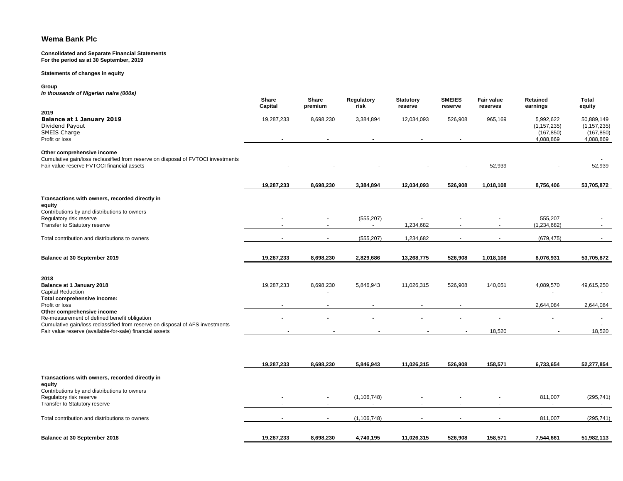#### **Consolidated and Separate Financial Statements For the period as at 30 September, 2019**

#### **Statements of changes in equity**

#### **Group**

*In thousands of Nigerian naira (000s)*

|                                                                                                                                                              | Share<br>Capital | Share<br>premium | Regulatory<br>risk   | <b>Statutory</b><br>reserve | <b>SMEIES</b><br>reserve | <b>Fair value</b><br>reserves | Retained<br>earnings                                  | <b>Total</b><br>equity                                 |
|--------------------------------------------------------------------------------------------------------------------------------------------------------------|------------------|------------------|----------------------|-----------------------------|--------------------------|-------------------------------|-------------------------------------------------------|--------------------------------------------------------|
| 2019<br><b>Balance at 1 January 2019</b><br>Dividend Payout<br>SMEIS Charge<br>Profit or loss                                                                | 19,287,233       | 8,698,230        | 3,384,894            | 12,034,093                  | 526,908                  | 965,169                       | 5,992,622<br>(1, 157, 235)<br>(167, 850)<br>4,088,869 | 50,889,149<br>(1, 157, 235)<br>(167, 850)<br>4,088,869 |
| Other comprehensive income<br>Cumulative gain/loss reclassified from reserve on disposal of FVTOCI investments<br>Fair value reserve FVTOCI financial assets |                  |                  |                      |                             |                          | 52,939                        |                                                       | 52,939                                                 |
|                                                                                                                                                              | 19,287,233       | 8,698,230        | 3,384,894            | 12,034,093                  | 526,908                  | 1,018,108                     | 8,756,406                                             | 53,705,872                                             |
| Transactions with owners, recorded directly in<br>equity<br>Contributions by and distributions to owners                                                     |                  |                  |                      |                             |                          |                               |                                                       |                                                        |
| Regulatory risk reserve<br>Transfer to Statutory reserve                                                                                                     |                  |                  | (555, 207)<br>$\sim$ | 1,234,682                   |                          |                               | 555,207<br>(1, 234, 682)                              |                                                        |
| Total contribution and distributions to owners                                                                                                               |                  | $\sim$           | (555, 207)           | 1,234,682                   |                          |                               | (679, 475)                                            |                                                        |
| Balance at 30 September 2019                                                                                                                                 | 19,287,233       | 8,698,230        | 2,829,686            | 13,268,775                  | 526,908                  | 1,018,108                     | 8,076,931                                             | 53,705,872                                             |
| 2018<br>Balance at 1 January 2018<br><b>Capital Reduction</b><br>Total comprehensive income:                                                                 | 19,287,233       | 8,698,230        | 5,846,943            | 11,026,315                  | 526,908                  | 140,051                       | 4,089,570                                             | 49,615,250                                             |
| Profit or loss                                                                                                                                               |                  |                  |                      |                             |                          |                               | 2,644,084                                             | 2,644,084                                              |
| Other comprehensive income<br>Re-measurement of defined benefit obligation<br>Cumulative gain/loss reclassified from reserve on disposal of AFS investments  |                  |                  |                      |                             |                          |                               |                                                       |                                                        |
| Fair value reserve (available-for-sale) financial assets                                                                                                     |                  |                  |                      |                             |                          | 18,520                        |                                                       | 18,520                                                 |
|                                                                                                                                                              | 19,287,233       | 8,698,230        | 5,846,943            | 11,026,315                  | 526,908                  | 158,571                       | 6,733,654                                             | 52,277,854                                             |
| Transactions with owners, recorded directly in<br>equity                                                                                                     |                  |                  |                      |                             |                          |                               |                                                       |                                                        |
| Contributions by and distributions to owners<br>Regulatory risk reserve<br>Transfer to Statutory reserve                                                     |                  | $\sim$           | (1, 106, 748)        |                             |                          |                               | 811,007                                               | (295, 741)                                             |
| Total contribution and distributions to owners                                                                                                               |                  | $\sim$           | (1, 106, 748)        |                             |                          | $\sim$                        | 811,007                                               | (295, 741)                                             |
| Balance at 30 September 2018                                                                                                                                 | 19,287,233       | 8,698,230        | 4,740,195            | 11,026,315                  | 526,908                  | 158,571                       | 7,544,661                                             | 51,982,113                                             |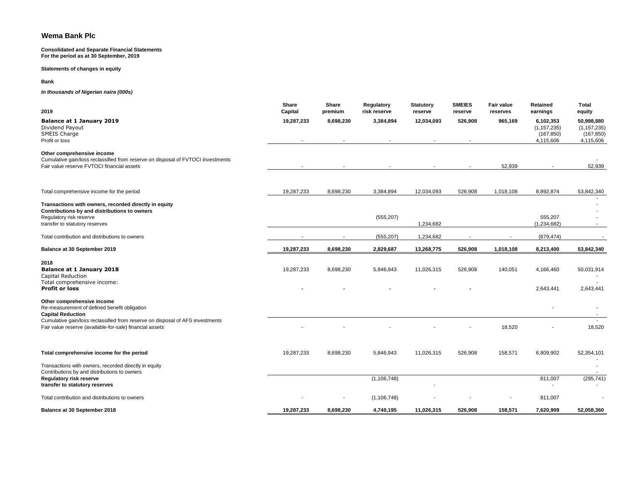#### **Consolidated and Separate Financial Statements For the period as at 30 September, 2019**

**Statements of changes in equity**

**Bank**

*In thousands of Nigerian naira (000s)*

| 2019                                                                                                                                                                                    | <b>Share</b><br>Capital | <b>Share</b><br>premium | Regulatory<br>risk reserve | <b>Statutory</b><br>reserve | <b>SMEIES</b><br>reserve | <b>Fair value</b><br>reserves | Retained<br>earnings                                  | Total<br>equity                                        |
|-----------------------------------------------------------------------------------------------------------------------------------------------------------------------------------------|-------------------------|-------------------------|----------------------------|-----------------------------|--------------------------|-------------------------------|-------------------------------------------------------|--------------------------------------------------------|
| Balance at 1 January 2019<br>Dividend Payout<br>SMEIS Charge<br>Profit or loss                                                                                                          | 19,287,233              | 8,698,230               | 3,384,894                  | 12,034,093                  | 526,908                  | 965,169                       | 6,102,353<br>(1, 157, 235)<br>(167, 850)<br>4,115,606 | 50,998,880<br>(1, 157, 235)<br>(167, 850)<br>4,115,606 |
| Other comprehensive income<br>Cumulative gain/loss reclassified from reserve on disposal of FVTOCI investments<br>Fair value reserve FVTOCI financial assets                            |                         |                         |                            |                             |                          | 52,939                        |                                                       | 52,939                                                 |
| Total comprehensive income for the period                                                                                                                                               | 19,287,233              | 8,698,230               | 3,384,894                  | 12,034,093                  | 526,908                  | 1,018,108                     | 8,892,874                                             | 53,842,340                                             |
| Transactions with owners, recorded directly in equity<br>Contributions by and distributions to owners<br>Regulatory risk reserve<br>transfer to statutory reserves                      |                         |                         | (555, 207)                 | 1,234,682                   |                          |                               | 555,207<br>(1,234,682)                                | $\sim$                                                 |
| Total contribution and distributions to owners                                                                                                                                          |                         |                         | (555, 207)                 | 1,234,682                   |                          |                               | (679, 474)                                            |                                                        |
| Balance at 30 September 2019                                                                                                                                                            | 19,287,233              | 8,698,230               | 2,829,687                  | 13,268,775                  | 526,908                  | 1,018,108                     | 8,213,400                                             | 53,842,340                                             |
| 2018<br>Balance at 1 January 2018<br>Capital Reduction<br>Total comprehensive income:<br><b>Profit or loss</b>                                                                          | 19,287,233              | 8,698,230               | 5,846,943                  | 11,026,315                  | 526,908                  | 140,051                       | 4,166,460<br>2,643,441                                | 50,031,914<br>2,643,441                                |
| Other comprehensive income<br>Re-measurement of defined benefit obligation<br><b>Capital Reduction</b><br>Cumulative gain/loss reclassified from reserve on disposal of AFS investments |                         |                         |                            |                             |                          |                               |                                                       |                                                        |
| Fair value reserve (available-for-sale) financial assets                                                                                                                                |                         |                         |                            |                             |                          | 18,520                        |                                                       | 18,520                                                 |
| Total comprehensive income for the period                                                                                                                                               | 19,287,233              | 8,698,230               | 5,846,943                  | 11,026,315                  | 526,908                  | 158,571                       | 6,809,902                                             | 52,354,101                                             |
| Transactions with owners, recorded directly in equity<br>Contributions by and distributions to owners<br>Regulatory risk reserve<br>transfer to statutory reserves                      |                         |                         | (1, 106, 748)              |                             |                          |                               | 811,007                                               | (295, 741)                                             |
| Total contribution and distributions to owners                                                                                                                                          |                         |                         | (1, 106, 748)              |                             |                          |                               | 811,007                                               |                                                        |
| Balance at 30 September 2018                                                                                                                                                            | 19,287,233              | 8,698,230               | 4,740,195                  | 11,026,315                  | 526,908                  | 158,571                       | 7,620,909                                             | 52,058,360                                             |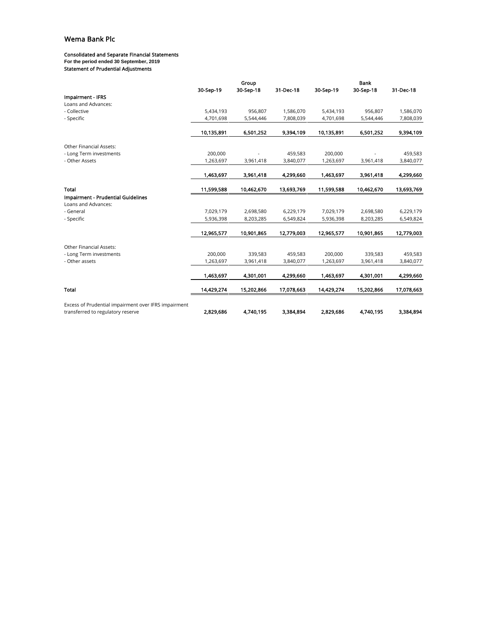#### Consolidated and Separate Financial Statements

**For the period ended 30 September, 2019**

Statement of Prudential Adjustments

|                                                                                           |            | Group      |            |            | <b>Bank</b> |            |
|-------------------------------------------------------------------------------------------|------------|------------|------------|------------|-------------|------------|
|                                                                                           | 30-Sep-19  | 30-Sep-18  | 31-Dec-18  | 30-Sep-19  | 30-Sep-18   | 31-Dec-18  |
| Impairment - IFRS                                                                         |            |            |            |            |             |            |
| Loans and Advances:                                                                       |            |            |            |            |             |            |
| - Collective                                                                              | 5,434,193  | 956,807    | 1,586,070  | 5,434,193  | 956,807     | 1,586,070  |
| - Specific                                                                                | 4,701,698  | 5,544,446  | 7,808,039  | 4,701,698  | 5,544,446   | 7,808,039  |
|                                                                                           | 10,135,891 | 6,501,252  | 9,394,109  | 10,135,891 | 6,501,252   | 9,394,109  |
|                                                                                           |            |            |            |            |             |            |
| Other Financial Assets:                                                                   |            |            |            |            |             |            |
| - Long Term investments                                                                   | 200,000    |            | 459,583    | 200,000    |             | 459,583    |
| - Other Assets                                                                            | 1,263,697  | 3,961,418  | 3,840,077  | 1,263,697  | 3,961,418   | 3,840,077  |
|                                                                                           | 1,463,697  | 3,961,418  | 4,299,660  | 1,463,697  | 3,961,418   | 4,299,660  |
|                                                                                           |            |            |            |            |             |            |
| <b>Total</b>                                                                              | 11,599,588 | 10,462,670 | 13,693,769 | 11,599,588 | 10,462,670  | 13,693,769 |
| Impairment - Prudential Guidelines                                                        |            |            |            |            |             |            |
| Loans and Advances:                                                                       |            |            |            |            |             |            |
| - General                                                                                 | 7,029,179  | 2,698,580  | 6,229,179  | 7,029,179  | 2,698,580   | 6,229,179  |
| - Specific                                                                                | 5,936,398  | 8,203,285  | 6,549,824  | 5,936,398  | 8,203,285   | 6,549,824  |
|                                                                                           | 12,965,577 | 10,901,865 | 12,779,003 | 12,965,577 | 10,901,865  | 12,779,003 |
|                                                                                           |            |            |            |            |             |            |
| Other Financial Assets:                                                                   |            |            |            |            |             |            |
| - Long Term investments                                                                   | 200,000    | 339,583    | 459,583    | 200,000    | 339,583     | 459,583    |
| - Other assets                                                                            | 1,263,697  | 3,961,418  | 3,840,077  | 1,263,697  | 3,961,418   | 3,840,077  |
|                                                                                           | 1,463,697  | 4,301,001  | 4,299,660  | 1,463,697  | 4,301,001   | 4,299,660  |
| Total                                                                                     | 14,429,274 | 15,202,866 | 17,078,663 | 14,429,274 | 15,202,866  | 17,078,663 |
|                                                                                           |            |            |            |            |             |            |
| Excess of Prudential impairment over IFRS impairment<br>transferred to regulatory reserve | 2,829,686  | 4,740,195  | 3,384,894  | 2,829,686  | 4,740,195   | 3,384,894  |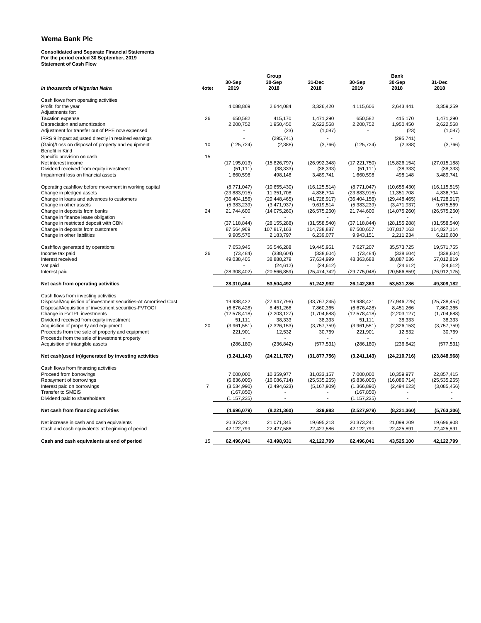# **Consolidated and Separate Financial Statements For the period ended 30 September, 2019 Statement of Cash Flow**

| In thousands of Nigerian Naira                                  | <b>Note:</b>   | 30-Sep<br>2019 | Group<br>30-Sep<br>2018 | 31-Dec<br>2018 | 30-Sep<br>2019 | Bank<br>30-Sep<br>2018 | 31-Dec<br>2018 |
|-----------------------------------------------------------------|----------------|----------------|-------------------------|----------------|----------------|------------------------|----------------|
| Cash flows from operating activities                            |                |                |                         |                |                |                        |                |
| Profit for the year                                             |                | 4,088,869      | 2,644,084               | 3,326,420      | 4,115,606      | 2,643,441              | 3,359,259      |
| Adjustments for:                                                |                |                |                         |                |                |                        |                |
| <b>Taxation expense</b>                                         | 26             | 650,582        | 415.170                 | 1,471,290      | 650,582        | 415.170                | 1.471.290      |
| Depreciation and amortization                                   |                | 2,200,752      | 1,950,450               | 2,622,568      | 2,200,752      | 1,950,450              | 2,622,568      |
| Adjustment for transfer out of PPE now expensed                 |                |                | (23)                    | (1,087)        |                | (23)                   | (1,087)        |
| IFRS 9 impact adjusted directly in retained earnings            |                |                | (295, 741)              |                |                | (295, 741)             |                |
| (Gain)/Loss on disposal of property and equipment               | 10             | (125, 724)     | (2,388)                 | (3,766)        | (125, 724)     | (2,388)                | (3,766)        |
| Benefit in Kind                                                 |                |                |                         |                |                |                        |                |
| Specific provision on cash                                      | 15             |                |                         |                |                |                        |                |
| Net interest income                                             |                | (17, 195, 013) | (15,826,797)            | (26,992,348)   | (17, 221, 750) | (15,826,154)           | (27,015,188)   |
| Dividend received from equity investment                        |                | (51, 111)      | (38, 333)               | (38, 333)      | (51, 111)      | (38, 333)              | (38, 333)      |
| Impairment loss on financial assets                             |                | 1,660,598      | 498,148                 | 3,489,741      | 1,660,598      | 498,148                | 3,489,741      |
| Operating cashflow before movement in working capital           |                | (8,771,047)    | (10,655,430)            | (16, 125, 514) | (8,771,047)    | (10,655,430)           | (16, 115, 515) |
| Change in pledged assets                                        |                | (23,883,915)   | 11,351,708              | 4,836,704      | (23, 883, 915) | 11,351,708             | 4,836,704      |
| Change in loans and advances to customers                       |                | (36, 404, 156) | (29, 448, 465)          | (41, 728, 917) | (36, 404, 156) | (29, 448, 465)         | (41, 728, 917) |
| Change in other assets                                          |                | (5,383,239)    | (3,471,937)             | 9,619,514      | (5,383,239)    | (3,471,937)            | 9,675,569      |
| Change in deposits from banks                                   | 24             | 21,744,600     | (14,075,260)            | (26, 575, 260) | 21,744,600     | (14,075,260)           | (26, 575, 260) |
| Change in finance lease obligation                              |                |                |                         |                |                |                        |                |
| Change in restricted deposit with CBN                           |                | (37, 118, 844) | (28, 155, 288)          | (31,558,540)   | (37, 118, 844) | (28, 155, 288)         | (31,558,540)   |
| Change in deposits from customers                               |                | 87,564,969     | 107,817,163             | 114,738,887    | 87,500,657     | 107,817,163            | 114,827,114    |
| Change in other liabilities                                     |                | 9,905,576      | 2,183,797               | 6,239,077      | 9,943,151      | 2,211,234              | 6,210,600      |
|                                                                 |                |                |                         |                |                |                        |                |
| Cashflow generated by operations                                |                | 7,653,945      | 35,546,288              | 19,445,951     | 7,627,207      | 35,573,725             | 19,571,755     |
| Income tax paid                                                 | 26             | (73, 484)      | (338, 604)              | (338, 604)     | (73, 484)      | (338, 604)             | (338, 604)     |
| Interest received                                               |                | 49,038,405     | 38,888,279              | 57,634,999     | 48,363,688     | 38,887,636             | 57,012,819     |
| Vat paid                                                        |                |                | (24, 612)               | (24, 612)      |                | (24, 612)              | (24, 612)      |
| Interest paid                                                   |                | (28, 308, 402) | (20, 566, 859)          | (25, 474, 742) | (29, 775, 048) | (20, 566, 859)         | (26, 912, 175) |
| Net cash from operating activities                              |                | 28,310,464     | 53,504,492              | 51,242,992     | 26,142,363     | 53,531,286             | 49,309,182     |
| Cash flows from investing activities                            |                |                |                         |                |                |                        |                |
| Disposal/Acquisition of investment securities-At Amortised Cost |                | 19,988,422     | (27, 947, 796)          | (33,767,245)   | 19,988,421     | (27, 946, 725)         | (25, 738, 457) |
| Disposal/Acquisition of investment securities-FVTOCI            |                | (6,676,428)    | 8,451,266               | 7,860,365      | (6,676,428)    | 8,451,266              | 7,860,365      |
| Change in FVTPL investments                                     |                | (12, 578, 418) | (2,203,127)             | (1,704,688)    | (12, 578, 418) | (2,203,127)            | (1,704,688)    |
| Dividend received from equity investment                        |                | 51,111         | 38,333                  | 38,333         | 51,111         | 38,333                 | 38,333         |
| Acquisition of property and equipment                           | 20             | (3,961,551)    | (2,326,153)             | (3,757,759)    | (3,961,551)    | (2,326,153)            | (3,757,759)    |
| Proceeds from the sale of property and equipment                |                | 221,901        | 12,532                  | 30,769         | 221,901        | 12,532                 | 30,769         |
| Proceeds from the sale of investment property                   |                |                |                         |                |                |                        |                |
| Acquisition of intangible assets                                |                | (286, 180)     | (236, 842)              | (577, 531)     | (286, 180)     | (236, 842)             | (577, 531)     |
|                                                                 |                |                |                         |                |                |                        |                |
| Net cash (used in)/generated by investing activities            |                | (3,241,143)    | (24,211,787)            | (31, 877, 756) | (3,241,143)    | (24, 210, 716)         | (23, 848, 968) |
| Cash flows from financing activities                            |                |                |                         |                |                |                        |                |
| Proceed from borrowings                                         |                | 7,000,000      | 10,359,977              | 31,033,157     | 7,000,000      | 10,359,977             | 22,857,415     |
| Repayment of borrowings                                         |                | (6,836,005)    | (16,086,714)            | (25, 535, 265) | (6,836,005)    | (16,086,714)           | (25, 535, 265) |
| Interest paid on borrowings                                     | $\overline{7}$ | (3,534,990)    | (2,494,623)             | (5, 167, 909)  | (1,366,890)    | (2,494,623)            | (3,085,456)    |
| Transfer to SMEIS                                               |                | (167, 850)     |                         |                | (167, 850)     |                        |                |
| Dividend paid to shareholders                                   |                | (1, 157, 235)  |                         |                | (1, 157, 235)  |                        |                |
| Net cash from financing activities                              |                | (4,696,079)    | (8,221,360)             | 329,983        | (2,527,979)    | (8,221,360)            | (5,763,306)    |
|                                                                 |                |                |                         |                |                |                        |                |
| Net increase in cash and cash equivalents                       |                | 20,373,241     | 21,071,345              | 19,695,213     | 20,373,241     | 21,099,209             | 19,696,908     |
| Cash and cash equivalents at beginning of period                |                | 42,122,799     | 22,427,586              | 22,427,586     | 42,122,799     | 22,425,891             | 22,425,891     |
| Cash and cash equivalents at end of period                      | 15             | 62,496,041     | 43,498,931              | 42,122,799     | 62,496,041     | 43,525,100             | 42,122,799     |
|                                                                 |                |                |                         |                |                |                        |                |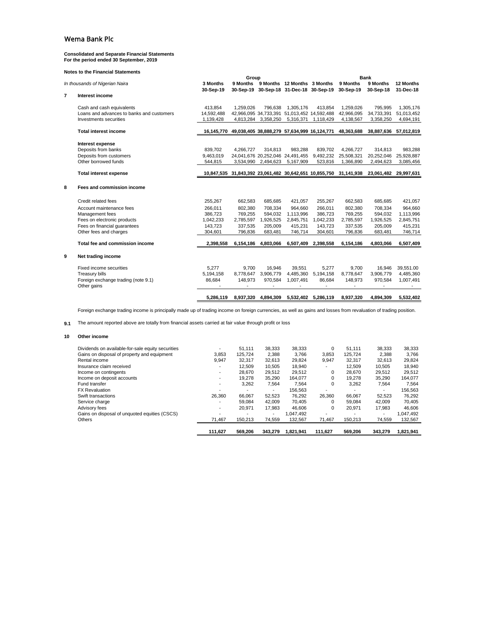## **Consolidated and Separate Financial Statements For the period ended 30 September, 2019**

#### **Notes to the Financial Statements**

|                |                                                                     |                         | Group     |                     |                                                                       |           |                                                                   | <b>Bank</b>             |                         |
|----------------|---------------------------------------------------------------------|-------------------------|-----------|---------------------|-----------------------------------------------------------------------|-----------|-------------------------------------------------------------------|-------------------------|-------------------------|
|                | In thousands of Nigerian Naira                                      | 3 Months<br>30-Sep-19   | 30-Sep-19 |                     | 9 Months 9 Months 12 Months 3 Months<br>30-Sep-18 31-Dec-18 30-Sep-19 |           | 9 Months<br>30-Sep-19                                             | 9 Months<br>30-Sep-18   | 12 Months<br>31-Dec-18  |
| $\overline{7}$ | Interest income                                                     |                         |           |                     |                                                                       |           |                                                                   |                         |                         |
|                | Cash and cash equivalents                                           | 413.854                 | 1,259,026 | 796.638             | 1.305.176                                                             | 413.854   | 1.259.026                                                         | 795.995                 | 1.305.176               |
|                | Loans and advances to banks and customers<br>Investments securities | 14.592.488<br>1,139,428 |           | 4,813,284 3,358,250 | 42,966,095 34,733,391 51,013,452 14,592,488<br>5,316,371              | 1,118,429 | 42.966.095<br>4,138,567                                           | 34,733,391<br>3,358,250 | 51,013,452<br>4,694,191 |
|                |                                                                     |                         |           |                     |                                                                       |           |                                                                   |                         |                         |
|                | <b>Total interest income</b>                                        | 16,145,770              |           |                     | 49,038,405 38,888,279 57,634,999 16,124,771                           |           | 48,363,688                                                        | 38,887,636              | 57,012,819              |
|                | Interest expense                                                    |                         |           |                     |                                                                       |           |                                                                   |                         |                         |
|                | Deposits from banks                                                 | 839.702                 | 4.266.727 | 314.813             | 983.288                                                               | 839,702   | 4.266.727                                                         | 314.813                 | 983.288                 |
|                | Deposits from customers                                             | 9.463.019               |           |                     | 24,041,676 20,252,046 24,491,455                                      | 9,492,232 | 25.508.321                                                        | 20.252.046              | 25,928,887              |
|                | Other borrowed funds                                                | 544,815                 |           | 3,534,990 2,494,623 | 5,167,909                                                             | 523,816   | 1,366,890                                                         | 2,494,623               | 3,085,456               |
|                | <b>Total interest expense</b>                                       |                         |           |                     |                                                                       |           | 10,847,535 31,843,392 23,061,482 30,642,651 10,855,750 31,141,938 |                         | 23,061,482 29,997,631   |
| 8              | Fees and commission income                                          |                         |           |                     |                                                                       |           |                                                                   |                         |                         |
|                | Credit related fees                                                 | 255,267                 | 662.583   | 685.685             | 421,057                                                               | 255,267   | 662.583                                                           | 685.685                 | 421,057                 |
|                | Account maintenance fees                                            | 266.011                 | 802.380   | 708.334             | 964.660                                                               | 266.011   | 802.380                                                           | 708.334                 | 964.660                 |
|                | Management fees                                                     | 386.723                 | 769.255   | 594.032             | 1,113,996                                                             | 386.723   | 769.255                                                           | 594,032                 | 1,113,996               |
|                | Fees on electronic products                                         | 1,042,233               | 2,785,597 | 1,926,525           | 2,845,751                                                             | 1,042,233 | 2,785,597                                                         | 1,926,525               | 2,845,751               |
|                | Fees on financial quarantees                                        | 143.723                 | 337.535   | 205.009             | 415.231                                                               | 143.723   | 337.535                                                           | 205.009                 | 415,231                 |
|                | Other fees and charges                                              | 304.601                 | 796,836   | 683,481             | 746,714                                                               | 304,601   | 796,836                                                           | 683,481                 | 746,714                 |
|                | Total fee and commission income                                     | 2,398,558               | 6,154,186 | 4,803,066           | 6.507.409                                                             | 2,398,558 | 6,154,186                                                         | 4.803.066               | 6,507,409               |
| 9              | Net trading income                                                  |                         |           |                     |                                                                       |           |                                                                   |                         |                         |
|                | Fixed income securities                                             | 5.277                   | 9.700     | 16.946              | 39.551                                                                | 5.277     | 9.700                                                             | 16.946                  | 39.551.00               |
|                | <b>Treasury bills</b>                                               | 5.194.158               | 8.778.647 | 3.906.779           | 4.485.360                                                             | 5,194,158 | 8,778,647                                                         | 3,906,779               | 4,485,360               |
|                | Foreign exchange trading (note 9.1)<br>Other gains                  | 86,684                  | 148,973   | 970,584             | 1,007,491                                                             | 86,684    | 148,973                                                           | 970,584                 | 1,007,491               |
|                |                                                                     | 5.286.119               | 8,937,320 |                     | 4,894,309 5,532,402 5,286,119                                         |           | 8,937,320                                                         | 4,894,309               | 5,532,402               |
|                |                                                                     |                         |           |                     |                                                                       |           |                                                                   |                         |                         |

Foreign exchange trading income is principally made up of trading income on foreign currencies, as well as gains and losses from revaluation of trading position.

**9.1** The amount reported above are totally from financial assets carried at fair value through profit or loss

#### **10 Other income**

| Dividends on available-for-sale equity securities | $\overline{\phantom{0}}$ | 51.111                   | 38.333                   | 38.333    | 0                        | 51.111                   | 38.333                   | 38.333    |
|---------------------------------------------------|--------------------------|--------------------------|--------------------------|-----------|--------------------------|--------------------------|--------------------------|-----------|
| Gains on disposal of property and equipment       | 3.853                    | 125.724                  | 2,388                    | 3,766     | 3,853                    | 125.724                  | 2,388                    | 3,766     |
| Rental income                                     | 9.947                    | 32.317                   | 32.613                   | 29.824    | 9.947                    | 32.317                   | 32.613                   | 29.824    |
| Insurance claim received                          | $\overline{\phantom{a}}$ | 12.509                   | 10.505                   | 18.940    | $\overline{\phantom{a}}$ | 12.509                   | 10.505                   | 18.940    |
| Income on contingents                             | $\overline{\phantom{a}}$ | 28.670                   | 29.512                   | 29.512    | 0                        | 28.670                   | 29.512                   | 29,512    |
| Income on deposit accounts                        | $\overline{\phantom{a}}$ | 19.278                   | 35.290                   | 164.077   | $\Omega$                 | 19.278                   | 35.290                   | 164.077   |
| Fund transfer                                     | $\overline{\phantom{a}}$ | 3,262                    | 7,564                    | 7,564     | 0                        | 3,262                    | 7,564                    | 7,564     |
| <b>FX Revaluation</b>                             | $\overline{\phantom{0}}$ | $\overline{\phantom{a}}$ | $\overline{\phantom{a}}$ | 156.563   | $\overline{\phantom{a}}$ | $\overline{\phantom{a}}$ | $\overline{\phantom{a}}$ | 156.563   |
| Swift transactions                                | 26,360                   | 66.067                   | 52,523                   | 76,292    | 26.360                   | 66.067                   | 52.523                   | 76,292    |
| Service charge                                    | $\overline{\phantom{a}}$ | 59.084                   | 42.009                   | 70.405    | $\Omega$                 | 59.084                   | 42.009                   | 70.405    |
| Advisory fees                                     | $\overline{\phantom{a}}$ | 20.971                   | 17.983                   | 46.606    | 0                        | 20.971                   | 17.983                   | 46.606    |
| Gains on disposal of unquoted equities (CSCS)     | $\overline{\phantom{0}}$ | $\overline{\phantom{0}}$ | $\overline{\phantom{a}}$ | 1.047.492 | $\overline{\phantom{a}}$ | $\overline{\phantom{0}}$ | $\overline{\phantom{a}}$ | 1,047,492 |
| Others                                            | 71.467                   | 150.213                  | 74.559                   | 132.567   | 71.467                   | 150.213                  | 74.559                   | 132,567   |
|                                                   |                          |                          |                          |           |                          |                          |                          |           |
|                                                   | 111.627                  | 569.206                  | 343.279                  | 1.821.941 | 111.627                  | 569.206                  | 343.279                  | 1.821.941 |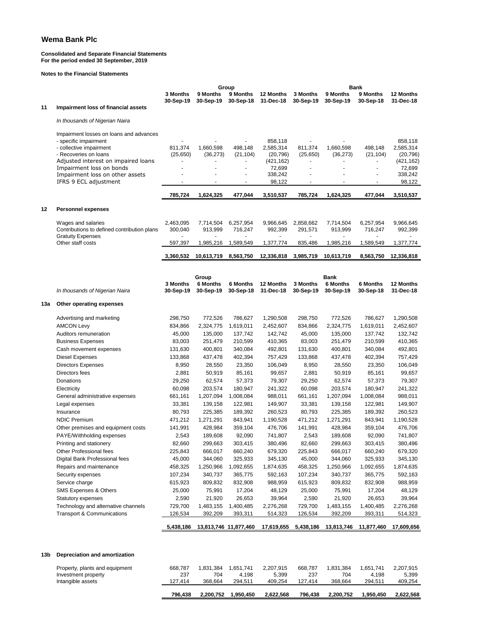#### **Consolidated and Separate Financial Statements For the period ended 30 September, 2019**

**Notes to the Financial Statements**

|     |                                                                   | Group                 |                        |                              |                        | <b>Bank</b>              |                              |                              |                        |
|-----|-------------------------------------------------------------------|-----------------------|------------------------|------------------------------|------------------------|--------------------------|------------------------------|------------------------------|------------------------|
|     |                                                                   | 3 Months              | 9 Months               | 9 Months                     | 12 Months              | 3 Months                 | <b>9 Months</b>              | 9 Months                     | 12 Months              |
| 11  |                                                                   | 30-Sep-19             | 30-Sep-19              | 30-Sep-18                    | 31-Dec-18              | 30-Sep-19                | 30-Sep-19                    | 30-Sep-18                    | 31-Dec-18              |
|     | Impairment loss of financial assets                               |                       |                        |                              |                        |                          |                              |                              |                        |
|     | In thousands of Nigerian Naira                                    |                       |                        |                              |                        |                          |                              |                              |                        |
|     |                                                                   |                       |                        |                              |                        |                          |                              |                              |                        |
|     | Impairment losses on loans and advances                           |                       |                        |                              |                        |                          |                              |                              |                        |
|     | - specific impairment                                             | 811,374               |                        |                              | 858.118                |                          |                              |                              | 858,118                |
|     | - collective impairment<br>- Recoveries on loans                  | (25,650)              | 1,660,598<br>(36, 273) | 498,148<br>(21, 104)         | 2,585,314<br>(20, 796) | 811,374<br>(25,650)      | 1,660,598<br>(36, 273)       | 498,148<br>(21, 104)         | 2,585,314<br>(20, 796) |
|     | Adjusted interest on impaired loans                               | $\blacksquare$        |                        |                              | (421, 162)             | $\overline{\phantom{a}}$ | $\qquad \qquad \blacksquare$ | ٠                            | (421,162)              |
|     | Impairment loss on bonds                                          |                       |                        |                              | 72,699                 | ä,                       |                              |                              | 72,699                 |
|     | Impairment loss on other assets                                   |                       |                        |                              | 338,242                |                          |                              |                              | 338,242                |
|     | IFRS 9 ECL adjustment                                             |                       |                        |                              | 98,122                 | ä,                       |                              | $\blacksquare$               | 98,122                 |
|     |                                                                   | 785,724               | 1,624,325              | 477,044                      | 3,510,537              | 785,724                  | 1,624,325                    | 477,044                      | 3,510,537              |
|     |                                                                   |                       |                        |                              |                        |                          |                              |                              |                        |
| 12  | <b>Personnel expenses</b>                                         |                       |                        |                              |                        |                          |                              |                              |                        |
|     |                                                                   |                       |                        |                              |                        |                          |                              |                              |                        |
|     | Wages and salaries<br>Contributions to defined contribution plans | 2,463,095<br>300,040  | 7,714,504<br>913,999   | 6,257,954<br>716,247         | 9,966,645<br>992,399   | 2,858,662<br>291,571     | 7,714,504<br>913,999         | 6,257,954<br>716,247         | 9,966,645<br>992,399   |
|     | <b>Gratuity Expenses</b>                                          |                       |                        |                              |                        |                          |                              |                              |                        |
|     | Other staff costs                                                 | 597,397               | 1,985,216              | 1,589,549                    | 1,377,774              | 835,486                  | 1,985,216                    | 1,589,549                    | 1,377,774              |
|     |                                                                   | 3,360,532             | 10,613,719             | 8,563,750                    | 12,336,818             | 3,985,719                | 10,613,719                   | 8,563,750                    | 12,336,818             |
|     |                                                                   |                       |                        |                              |                        |                          |                              |                              |                        |
|     |                                                                   |                       |                        |                              |                        |                          |                              |                              |                        |
|     |                                                                   |                       | Group                  |                              |                        |                          | <b>Bank</b>                  |                              |                        |
|     | In thousands of Nigerian Naira                                    | 3 Months<br>30-Sep-19 | 6 Months<br>30-Sep-19  | <b>6 Months</b><br>30-Sep-18 | 12 Months<br>31-Dec-18 | 3 Months<br>30-Sep-19    | <b>6 Months</b><br>30-Sep-19 | <b>6 Months</b><br>30-Sep-18 | 12 Months<br>31-Dec-18 |
|     |                                                                   |                       |                        |                              |                        |                          |                              |                              |                        |
| 13а | Other operating expenses                                          |                       |                        |                              |                        |                          |                              |                              |                        |
|     |                                                                   |                       |                        |                              |                        |                          |                              |                              |                        |
|     | Advertising and marketing<br><b>AMCON Levy</b>                    | 298,750<br>834,866    | 772,526<br>2,324,775   | 786,627<br>1,619,011         | 1,290,508<br>2,452,607 | 298,750<br>834,866       | 772,526<br>2,324,775         | 786,627<br>1,619,011         | 1,290,508<br>2,452,607 |
|     | Auditors remuneration                                             | 45,000                | 135,000                | 137,742                      | 142,742                | 45,000                   | 135,000                      | 137,742                      | 132,742                |
|     | <b>Business Expenses</b>                                          | 83,003                | 251,479                | 210,599                      | 410,365                | 83,003                   | 251,479                      | 210,599                      | 410,365                |
|     | Cash movement expenses                                            | 131,630               | 400,801                | 340,084                      | 492,801                | 131,630                  | 400,801                      | 340,084                      | 492,801                |
|     | Diesel Expenses                                                   | 133,868               | 437,478                | 402,394                      | 757,429                | 133,868                  | 437,478                      | 402,394                      | 757,429                |
|     | <b>Directors Expenses</b>                                         | 8,950                 | 28,550                 | 23,350                       | 106,049                | 8,950                    | 28,550                       | 23,350                       | 106,049                |
|     | Directors fees                                                    | 2,881                 | 50,919                 | 85,161                       | 99,657                 | 2,881                    | 50,919                       | 85,161                       | 99,657                 |
|     | Donations                                                         | 29,250                | 62,574                 | 57,373                       | 79,307                 | 29,250                   | 62,574                       | 57,373                       | 79,307                 |
|     | Electricity                                                       | 60,098                | 203,574                | 180,947                      | 241,322                | 60,098                   | 203,574                      | 180,947                      | 241,322                |
|     | General administrative expenses                                   | 661,161               | 1,207,094              | 1,008,084                    | 988,011                | 661,161                  | 1,207,094                    | 1,008,084                    | 988,011                |
|     | Legal expenses                                                    | 33,381                | 139,158                | 122,981                      | 149,907                | 33,381                   | 139,158                      | 122,981                      | 149,907                |
|     | Insurance                                                         | 80,793                | 225,385                | 189,392                      | 260,523                | 80,793                   | 225,385                      | 189,392                      | 260,523                |
|     | <b>NDIC Premium</b>                                               | 471,212               | 1,271,291              | 843,941                      | 1,190,528              | 471,212                  | 1,271,291                    | 843,941                      | 1,190,528              |
|     | Other premises and equipment costs                                | 141,991               | 428,984                | 359,104                      | 476,706                | 141,991                  | 428,984                      | 359,104                      | 476,706                |
|     | PAYE/Withholding expenses                                         | 2,543                 | 189,608                | 92.090                       | 741,807                | 2.543                    | 189,608                      | 92,090                       | 741,807                |
|     | Printing and stationery                                           | 82,660                | 299,663                | 303,415                      | 380,496                | 82,660                   | 299,663                      | 303,415                      | 380,496                |
|     | Other Professional fees                                           | 225,843               | 666,017                | 660,240                      | 679,320                | 225,843                  | 666,017                      | 660,240                      | 679,320                |
|     | Digital Bank Professional fees                                    | 45,000                | 344,060                | 325,933                      | 345,130                | 45,000                   | 344,060                      | 325,933                      | 345,130                |
|     | Repairs and maintenance                                           | 458,325               | 1,250,966              | 1,092,655                    | 1,874,635              | 458,325                  | 1,250,966                    | 1,092,655                    | 1,874,635              |
|     | Security expenses                                                 | 107,234               | 340,737                | 365,775                      | 592,163                | 107,234                  | 340,737                      | 365,775                      | 592,163                |
|     | Service charge                                                    | 615,923               | 809,832                | 832,908                      | 988,959                | 615,923                  | 809,832                      | 832,908                      | 988,959                |
|     | SMS Expenses & Others                                             | 25,000                | 75,991                 | 17,204                       | 48,129                 | 25,000                   | 75,991                       | 17,204                       | 48,129                 |
|     | Statutory expenses                                                | 2,590                 | 21,920                 | 26,653                       | 39,964                 | 2,590                    | 21,920                       | 26,653                       | 39,964                 |
|     | Technology and alternative channels                               | 729,700               | 1,483,155              | 1,400,485                    | 2,276,268              | 729,700                  | 1,483,155                    | 1,400,485                    | 2,276,268              |
|     | <b>Transport &amp; Communications</b>                             | 126,534               | 392,209                | 393,311                      | 514,323                | 126,534                  | 392,209                      | 393,311                      | 514,323                |
|     |                                                                   | 5,438,186             | 13,813,746 11,877,460  |                              | 17,619,655             | 5,438,186                | 13,813,746                   | 11,877,460                   | 17,609,656             |
|     |                                                                   |                       |                        |                              |                        |                          |                              |                              |                        |
|     |                                                                   |                       |                        |                              |                        |                          |                              |                              |                        |
| 13b | Depreciation and amortization                                     |                       |                        |                              |                        |                          |                              |                              |                        |
|     | Property, plants and equipment                                    | 668,787               | 1,831,384              | 1,651,741                    | 2,207,915              | 668,787                  | 1,831,384                    | 1,651,741                    | 2,207,915              |
|     | Investment property                                               | 237                   | 704                    | 4,198                        | 5,399                  | 237                      | 704                          | 4,198                        | 5,399                  |
|     | Intangible assets                                                 | 127,414               | 368,664                | 294,511                      | 409,254                | 127,414                  | 368,664                      | 294,511                      | 409,254                |
|     |                                                                   | 796,438               | 2,200,752              | 1,950,450                    | 2,622,568              | 796,438                  | 2,200,752                    | 1,950,450                    | 2,622,568              |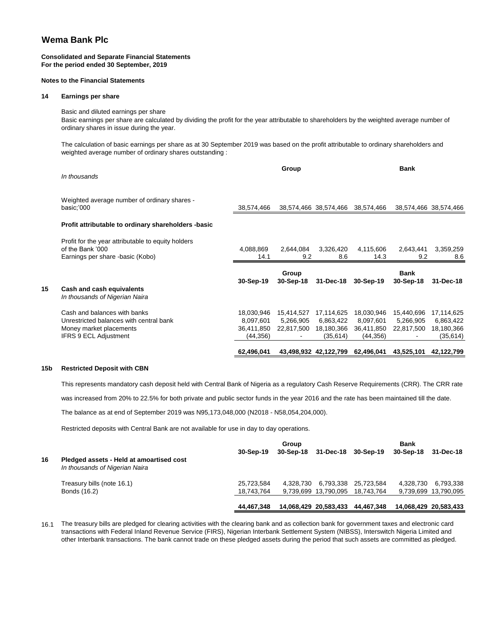#### **Consolidated and Separate Financial Statements For the period ended 30 September, 2019**

#### **Notes to the Financial Statements**

#### **14 Earnings per share**

Basic and diluted earnings per share Basic earnings per share are calculated by dividing the profit for the year attributable to shareholders by the weighted average number of ordinary shares in issue during the year.

The calculation of basic earnings per share as at 30 September 2019 was based on the profit attributable to ordinary shareholders and weighted average number of ordinary shares outstanding :

|    | In thousands                                                                                               |                                       | Group                                 |                                       |                                       | <b>Bank</b>                           |                                       |
|----|------------------------------------------------------------------------------------------------------------|---------------------------------------|---------------------------------------|---------------------------------------|---------------------------------------|---------------------------------------|---------------------------------------|
|    | Weighted average number of ordinary shares -<br>basic;'000                                                 | 38,574,466                            |                                       | 38,574,466 38,574,466 38,574,466      |                                       |                                       | 38,574,466 38,574,466                 |
|    | Profit attributable to ordinary shareholders -basic                                                        |                                       |                                       |                                       |                                       |                                       |                                       |
|    | Profit for the year attributable to equity holders<br>of the Bank '000<br>Earnings per share -basic (Kobo) | 4,088,869<br>14.1                     | 2,644,084<br>9.2                      | 3,326,420<br>8.6                      | 4,115,606<br>14.3                     | 2,643,441<br>9.2                      | 3,359,259<br>8.6                      |
|    |                                                                                                            | 30-Sep-19                             | Group<br>30-Sep-18                    | 31-Dec-18                             | 30-Sep-19                             | <b>Bank</b><br>30-Sep-18              | 31-Dec-18                             |
| 15 | Cash and cash equivalents<br>In thousands of Nigerian Naira                                                |                                       |                                       |                                       |                                       |                                       |                                       |
|    | Cash and balances with banks<br>Unrestricted balances with central bank<br>Money market placements         | 18,030,946<br>8,097,601<br>36,411,850 | 15,414,527<br>5,266,905<br>22,817,500 | 17,114,625<br>6,863,422<br>18,180,366 | 18,030,946<br>8,097,601<br>36,411,850 | 15,440,696<br>5,266,905<br>22,817,500 | 17,114,625<br>6,863,422<br>18,180,366 |
|    | <b>IFRS 9 ECL Adjustment</b>                                                                               | (44,356)<br>62,496,041                |                                       | (35, 614)<br>43,498,932 42,122,799    | (44, 356)<br>62,496,041               | 43,525,101                            | (35,614)<br>42,122,799                |

#### **15b Restricted Deposit with CBN**

This represents mandatory cash deposit held with Central Bank of Nigeria as a regulatory Cash Reserve Requirements (CRR). The CRR rate

was increased from 20% to 22.5% for both private and public sector funds in the year 2016 and the rate has been maintained till the date.

The balance as at end of September 2019 was N95,173,048,000 (N2018 - N58,054,204,000).

Restricted deposits with Central Bank are not available for use in day to day operations.

| 16 | Pledged assets - Held at amoartised cost | 30-Sep-19  | Group<br>30-Sep-18 31-Dec-18 |                       | 30-Sep-19  | <b>Bank</b><br>30-Sep-18 | 31-Dec-18             |
|----|------------------------------------------|------------|------------------------------|-----------------------|------------|--------------------------|-----------------------|
|    | In thousands of Nigerian Naira           |            |                              |                       |            |                          |                       |
|    | Treasury bills (note 16.1)               | 25.723.584 | 4.328.730                    | 6.793.338             | 25.723.584 | 4.328.730                | 6,793,338             |
|    | Bonds (16.2)                             | 18,743,764 |                              | 9,739,699 13,790,095  | 18.743.764 |                          | 9,739,699 13,790,095  |
|    |                                          | 44.467.348 |                              | 14,068,429 20,583,433 | 44,467,348 |                          | 14,068,429 20,583,433 |

16.1 The treasury bills are pledged for clearing activities with the clearing bank and as collection bank for government taxes and electronic card transactions with Federal Inland Revenue Service (FIRS), Nigerian Interbank Settlement System (NIBSS), Interswitch Nigeria Limited and other Interbank transactions. The bank cannot trade on these pledged assets during the period that such assets are committed as pledged.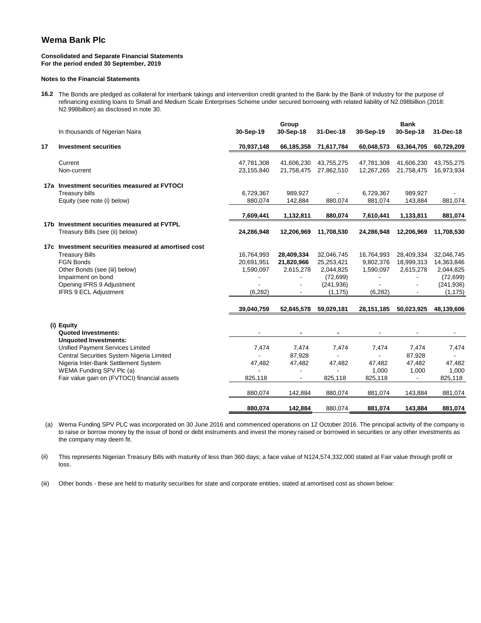#### **Consolidated and Separate Financial Statements For the period ended 30 September, 2019**

#### **Notes to the Financial Statements**

**16.2** The Bonds are pledged as collateral for interbank takings and intervention credit granted to the Bank by the Bank of Industry for the purpose of refinancing existing loans to Small and Medium Scale Enterprises Scheme under secured borrowing with related liability of N2.098billion (2018: N2.998billion) as disclosed in note 30.

|    | In thousands of Nigerian Naira                                                                                                                                                                                                                                                | 30-Sep-19                                                       | Group<br>30-Sep-18                                                                            | 31-Dec-18                                                                                  | 30-Sep-19                                                                        | <b>Bank</b><br>30-Sep-18                                                   | 31-Dec-18                                                                                  |
|----|-------------------------------------------------------------------------------------------------------------------------------------------------------------------------------------------------------------------------------------------------------------------------------|-----------------------------------------------------------------|-----------------------------------------------------------------------------------------------|--------------------------------------------------------------------------------------------|----------------------------------------------------------------------------------|----------------------------------------------------------------------------|--------------------------------------------------------------------------------------------|
| 17 | <b>Investment securities</b>                                                                                                                                                                                                                                                  | 70,937,148                                                      | 66,185,358                                                                                    | 71,617,784                                                                                 | 60,048,573                                                                       | 63,364,705                                                                 | 60,729,209                                                                                 |
|    | Current<br>Non-current                                                                                                                                                                                                                                                        | 47,781,308<br>23,155,840                                        | 41,606,230<br>21,758,475                                                                      | 43,755,275<br>27,862,510                                                                   | 47,781,308<br>12,267,265                                                         | 41,606,230<br>21,758,475                                                   | 43,755,275<br>16,973,934                                                                   |
|    | 17a Investment securities measured at FVTOCI<br><b>Treasury bills</b><br>Equity (see note (i) below)                                                                                                                                                                          | 6,729,367<br>880,074                                            | 989,927<br>142,884                                                                            | 880,074                                                                                    | 6,729,367<br>881,074                                                             | 989,927<br>143,884                                                         | 881,074                                                                                    |
|    |                                                                                                                                                                                                                                                                               | 7,609,441                                                       | 1,132,811                                                                                     | 880,074                                                                                    | 7,610,441                                                                        | 1,133,811                                                                  | 881,074                                                                                    |
|    | 17b Investment securities measured at FVTPL<br>Treasury Bills (see (ii) below)                                                                                                                                                                                                | 24,286,948                                                      | 12,206,969                                                                                    | 11,708,530                                                                                 | 24,286,948                                                                       | 12,206,969                                                                 | 11,708,530                                                                                 |
|    | 17c Investment securities measured at amortised cost<br><b>Treasury Bills</b><br><b>FGN Bonds</b><br>Other Bonds (see (iii) below)<br>Impairment on bond<br>Opening IFRS 9 Adjustment<br><b>IFRS 9 ECL Adjustment</b>                                                         | 16,764,993<br>20,691,951<br>1,590,097<br>(6, 282)<br>39,040,759 | 28,409,334<br>21,820,966<br>2,615,278<br>52,845,578                                           | 32,046,745<br>25,253,421<br>2,044,825<br>(72, 699)<br>(241, 936)<br>(1, 175)<br>59,029,181 | 16,764,993<br>9,802,376<br>1,590,097<br>$\blacksquare$<br>(6, 282)<br>28,151,185 | 28,409,334<br>18,999,313<br>2,615,278<br>50,023,925                        | 32,046,745<br>14,363,846<br>2,044,825<br>(72, 699)<br>(241, 936)<br>(1, 175)<br>48,139,606 |
|    | (i) Equity<br><b>Quoted Investments:</b><br><b>Unquoted Investments:</b><br>Unified Payment Services Limited<br>Central Securities System Nigeria Limited<br>Nigeria Inter-Bank Settlement System<br>WEMA Funding SPV Plc (a)<br>Fair value gain on (FVTOCI) financial assets | 7,474<br>47,482<br>825,118<br>880,074<br>880.074                | 7,474<br>87,928<br>47,482<br>$\blacksquare$<br>$\overline{\phantom{a}}$<br>142,884<br>142.884 | 7,474<br>47,482<br>825,118<br>880,074<br>880.074                                           | 7,474<br>$\blacksquare$<br>47,482<br>1,000<br>825,118<br>881,074<br>881,074      | 7,474<br>87,928<br>47,482<br>1,000<br>$\blacksquare$<br>143,884<br>143,884 | 7,474<br>$\blacksquare$<br>47,482<br>1,000<br>825,118<br>881,074<br>881,074                |

(a) Wema Funding SPV PLC was incorporated on 30 June 2016 and commenced operations on 12 October 2016. The principal activity of the company is to raise or borrow money by the issue of bond or debt instruments and invest the money raised or borrowed in securities or any other investments as the company may deem fit.

(ii) This represents Nigerian Treasury Bills with maturity of less than 360 days; a face value of N124,574,332,000 stated at Fair value through profit or loss.

(iii) Other bonds - these are held to maturity securities for state and corporate entities, stated at amortised cost as shown below: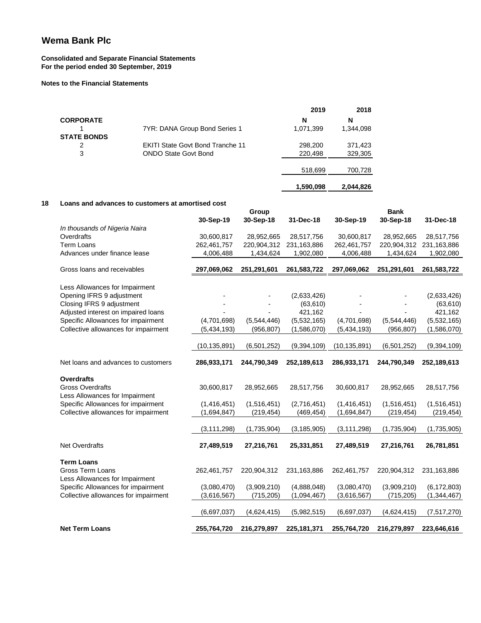#### **Consolidated and Separate Financial Statements For the period ended 30 September, 2019**

#### **Notes to the Financial Statements**

|                    |                                         | 2019      | 2018      |
|--------------------|-----------------------------------------|-----------|-----------|
| <b>CORPORATE</b>   |                                         | N         | N         |
|                    | 7YR: DANA Group Bond Series 1           | 1,071,399 | 1,344,098 |
| <b>STATE BONDS</b> |                                         |           |           |
| 2                  | <b>EKITI State Govt Bond Tranche 11</b> | 298,200   | 371,423   |
| 3                  | <b>ONDO State Govt Bond</b>             | 220,498   | 329,305   |
|                    |                                         |           |           |
|                    |                                         | 518,699   | 700,728   |
|                    |                                         | 1,590,098 | 2,044,826 |

#### **18 Loans and advances to customers at amortised cost**

|                                                                      |                | Group       |               | <b>Bank</b>    |             |               |  |
|----------------------------------------------------------------------|----------------|-------------|---------------|----------------|-------------|---------------|--|
|                                                                      | 30-Sep-19      | 30-Sep-18   | 31-Dec-18     | 30-Sep-19      | 30-Sep-18   | 31-Dec-18     |  |
| In thousands of Nigeria Naira                                        |                |             |               |                |             |               |  |
| Overdrafts                                                           | 30,600,817     | 28,952,665  | 28,517,756    | 30,600,817     | 28,952,665  | 28,517,756    |  |
| <b>Term Loans</b>                                                    | 262,461,757    | 220,904,312 | 231,163,886   | 262,461,757    | 220,904,312 | 231,163,886   |  |
| Advances under finance lease                                         | 4,006,488      | 1,434,624   | 1,902,080     | 4,006,488      | 1,434,624   | 1,902,080     |  |
| Gross loans and receivables                                          | 297,069,062    | 251,291,601 | 261,583,722   | 297,069,062    | 251,291,601 | 261,583,722   |  |
|                                                                      |                |             |               |                |             |               |  |
| Less Allowances for Impairment<br>Opening IFRS 9 adjustment          |                |             | (2,633,426)   |                |             | (2,633,426)   |  |
| Closing IFRS 9 adjustment                                            |                |             | (63, 610)     |                |             | (63, 610)     |  |
| Adjusted interest on impaired loans                                  |                |             | 421,162       |                |             | 421,162       |  |
| Specific Allowances for impairment                                   | (4,701,698)    | (5,544,446) | (5,532,165)   | (4,701,698)    | (5,544,446) | (5,532,165)   |  |
| Collective allowances for impairment                                 | (5,434,193)    | (956, 807)  | (1,586,070)   | (5,434,193)    | (956, 807)  | (1,586,070)   |  |
|                                                                      |                |             |               |                |             |               |  |
|                                                                      | (10, 135, 891) | (6,501,252) | (9, 394, 109) | (10, 135, 891) | (6,501,252) | (9, 394, 109) |  |
| Net loans and advances to customers                                  | 286,933,171    | 244,790,349 | 252,189,613   | 286,933,171    | 244,790,349 | 252,189,613   |  |
| <b>Overdrafts</b>                                                    |                |             |               |                |             |               |  |
| <b>Gross Overdrafts</b>                                              | 30,600,817     | 28,952,665  | 28,517,756    | 30,600,817     | 28.952,665  | 28,517,756    |  |
| Less Allowances for Impairment<br>Specific Allowances for impairment | (1, 416, 451)  | (1,516,451) | (2,716,451)   | (1,416,451)    | (1,516,451) | (1,516,451)   |  |
| Collective allowances for impairment                                 | (1,694,847)    | (219, 454)  | (469, 454)    | (1,694,847)    | (219, 454)  | (219, 454)    |  |
|                                                                      |                |             |               |                |             |               |  |
|                                                                      | (3, 111, 298)  | (1,735,904) | (3, 185, 905) | (3, 111, 298)  | (1,735,904) | (1,735,905)   |  |
| <b>Net Overdrafts</b>                                                | 27,489,519     | 27,216,761  | 25,331,851    | 27,489,519     | 27,216,761  | 26,781,851    |  |
|                                                                      |                |             |               |                |             |               |  |
| <b>Term Loans</b><br><b>Gross Term Loans</b>                         |                | 220,904,312 | 231, 163, 886 |                | 220,904,312 | 231, 163, 886 |  |
|                                                                      | 262,461,757    |             |               | 262,461,757    |             |               |  |
| Less Allowances for Impairment                                       |                |             |               |                |             |               |  |
| Specific Allowances for impairment                                   | (3,080,470)    | (3,909,210) | (4,888,048)   | (3,080,470)    | (3,909,210) | (6, 172, 803) |  |
| Collective allowances for impairment                                 | (3,616,567)    | (715,205)   | (1,094,467)   | (3,616,567)    | (715, 205)  | (1, 344, 467) |  |
|                                                                      | (6,697,037)    | (4,624,415) | (5,982,515)   | (6,697,037)    | (4,624,415) | (7, 517, 270) |  |
| <b>Net Term Loans</b>                                                | 255,764,720    | 216,279,897 | 225, 181, 371 | 255,764,720    | 216,279,897 | 223,646,616   |  |
|                                                                      |                |             |               |                |             |               |  |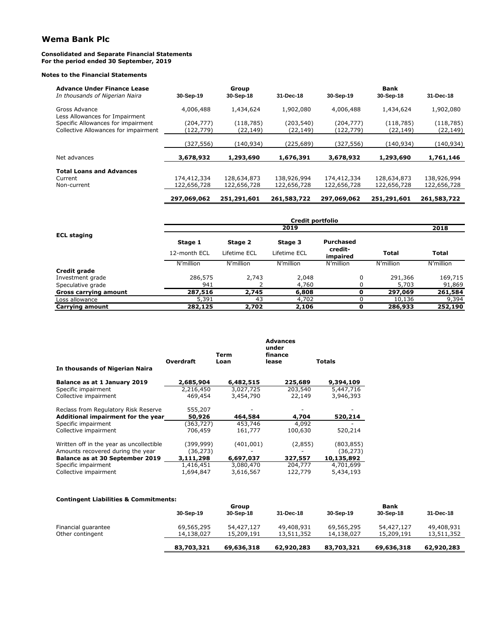#### **Consolidated and Separate Financial Statements For the period ended 30 September, 2019**

#### **Notes to the Financial Statements**

| <b>Advance Under Finance Lease</b>              |             | Group       |             |             | <b>Bank</b> |             |
|-------------------------------------------------|-------------|-------------|-------------|-------------|-------------|-------------|
| In thousands of Nigerian Naira                  | 30-Sep-19   | 30-Sep-18   | 31-Dec-18   | 30-Sep-19   | 30-Sep-18   | 31-Dec-18   |
| Gross Advance<br>Less Allowances for Impairment | 4,006,488   | 1,434,624   | 1,902,080   | 4,006,488   | 1,434,624   | 1,902,080   |
| Specific Allowances for impairment              | (204, 777)  | (118, 785)  | (203,540)   | (204,777)   | (118, 785)  | (118,785)   |
| Collective Allowances for impairment            | (122, 779)  | (22,149)    | (22,149)    | (122,779)   | (22, 149)   | (22, 149)   |
|                                                 |             |             |             |             |             |             |
|                                                 | (327, 556)  | (140, 934)  | (225,689)   | (327,556)   | (140,934)   | (140,934)   |
| Net advances                                    | 3,678,932   | 1,293,690   | 1,676,391   | 3,678,932   | 1,293,690   | 1,761,146   |
| <b>Total Loans and Advances</b>                 |             |             |             |             |             |             |
| Current                                         | 174,412,334 | 128,634,873 | 138,926,994 | 174,412,334 | 128,634,873 | 138,926,994 |
| Non-current                                     | 122,656,728 | 122,656,728 | 122,656,728 | 122,656,728 | 122,656,728 | 122,656,728 |
|                                                 | 297,069,062 | 251,291,601 | 261,583,722 | 297,069,062 | 251,291,601 | 261,583,722 |

| Credit portfolio      |              |              |              |                     |              |              |  |  |  |
|-----------------------|--------------|--------------|--------------|---------------------|--------------|--------------|--|--|--|
|                       |              | 2019         |              |                     |              |              |  |  |  |
| <b>ECL staging</b>    | Stage 1      | Stage 2      | Stage 3      | <b>Purchased</b>    |              |              |  |  |  |
|                       | 12-month ECL | Lifetime ECL | Lifetime ECL | credit-<br>impaired | <b>Total</b> | <b>Total</b> |  |  |  |
|                       | N'million    | N'million    | N'million    | N'million           | N'million    | N'million    |  |  |  |
| Credit grade          |              |              |              |                     |              |              |  |  |  |
| Investment grade      | 286,575      | 2,743        | 2,048        | $\Omega$            | 291,366      | 169,715      |  |  |  |
| Speculative grade     | 941          |              | 4,760        |                     | 5,703        | 91,869       |  |  |  |
| Gross carrying amount | 287,516      | 2,745        | 6,808        | 0                   | 297,069      | 261,584      |  |  |  |
| Loss allowance        | 5,391        | 43           | 4,702        |                     | 10,136       | 9,394        |  |  |  |
| Carrying amount       | 282,125      | 2,702        | 2,106        | 0                   | 286,933      | 252,190      |  |  |  |

|                                          |                  | Term      | <b>Advances</b><br>under<br>finance |               |
|------------------------------------------|------------------|-----------|-------------------------------------|---------------|
|                                          | <b>Overdraft</b> | Loan      | lease                               | <b>Totals</b> |
| In thousands of Nigerian Naira           |                  |           |                                     |               |
| Balance as at 1 January 2019             | 2,685,904        | 6,482,515 | 225,689                             | 9,394,109     |
| Specific impairment                      | 2,216,450        | 3,027,725 | 203,540                             | 5,447,716     |
| Collective impairment                    | 469,454          | 3,454,790 | 22,149                              | 3,946,393     |
| Reclass from Regulatory Risk Reserve     | 555,207          |           |                                     |               |
| Additional impairment for the year       | 50,926           | 464,584   | 4,704                               | 520,214       |
| Specific impairment                      | (363,727)        | 453,746   | 4,092                               |               |
| Collective impairment                    | 706,459          | 161,777   | 100,630                             | 520,214       |
| Written off in the year as uncollectible | (399,999)        | (401,001) | (2,855)                             | (803, 855)    |
| Amounts recovered during the year        | (36,273)         |           |                                     | (36, 273)     |
| Balance as at 30 September 2019          | 3,111,298        | 6,697,037 | 327,557                             | 10,135,892    |
| Specific impairment                      | 1,416,451        | 3,080,470 | 204,777                             | 4,701,699     |
| Collective impairment                    | 1,694,847        | 3,616,567 | 122,779                             | 5,434,193     |

#### **Contingent Liabilities & Commitments:**

|                     |            | Group      |            |            | <b>Bank</b> |            |  |  |
|---------------------|------------|------------|------------|------------|-------------|------------|--|--|
|                     | 30-Sep-19  | 30-Sep-18  | 31-Dec-18  | 30-Sep-19  | 30-Sep-18   | 31-Dec-18  |  |  |
| Financial guarantee | 69,565,295 | 54,427,127 | 49,408,931 | 69,565,295 | 54,427,127  | 49,408,931 |  |  |
| Other contingent    | 14,138,027 | 15,209,191 | 13,511,352 | 14,138,027 | 15,209,191  | 13,511,352 |  |  |
|                     | 83,703,321 | 69,636,318 | 62,920,283 | 83,703,321 | 69,636,318  | 62,920,283 |  |  |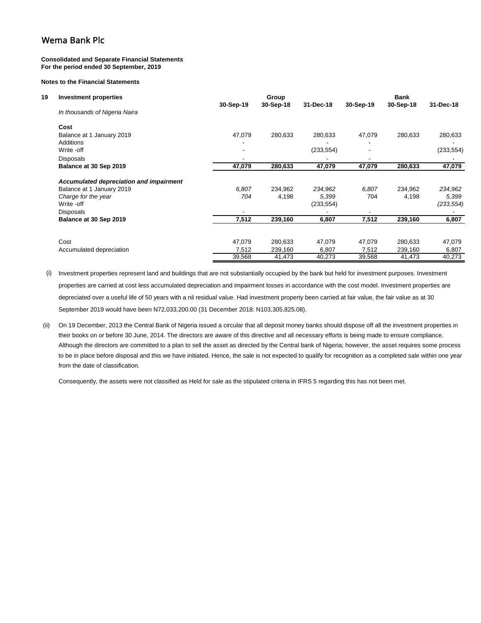#### **Consolidated and Separate Financial Statements For the period ended 30 September, 2019**

#### **Notes to the Financial Statements**

| 19 | <b>Investment properties</b>            |        | Group<br>31-Dec-18<br>30-Sep-19<br>30-Sep-18 |            |        | <b>Bank</b><br>30-Sep-19<br>30-Sep-18<br>31-Dec-18 |            |  |  |
|----|-----------------------------------------|--------|----------------------------------------------|------------|--------|----------------------------------------------------|------------|--|--|
|    | In thousands of Nigeria Naira           |        |                                              |            |        |                                                    |            |  |  |
|    | Cost                                    |        |                                              |            |        |                                                    |            |  |  |
|    | Balance at 1 January 2019               | 47,079 | 280,633                                      | 280,633    | 47,079 | 280,633                                            | 280,633    |  |  |
|    | Additions                               |        |                                              |            |        |                                                    |            |  |  |
|    | Write -off                              |        |                                              | (233, 554) |        |                                                    | (233, 554) |  |  |
|    | <b>Disposals</b>                        | -      |                                              |            |        |                                                    |            |  |  |
|    | Balance at 30 Sep 2019                  | 47,079 | 280,633                                      | 47,079     | 47,079 | 280,633                                            | 47,079     |  |  |
|    | Accumulated depreciation and impairment |        |                                              |            |        |                                                    |            |  |  |
|    | Balance at 1 January 2019               | 6,807  | 234,962                                      | 234,962    | 6,807  | 234,962                                            | 234,962    |  |  |
|    | Charge for the year                     | 704    | 4,198                                        | 5,399      | 704    | 4,198                                              | 5,399      |  |  |
|    | Write -off                              |        |                                              | (233, 554) |        |                                                    | (233, 554) |  |  |
|    | Disposals                               |        |                                              |            |        |                                                    |            |  |  |
|    | Balance at 30 Sep 2019                  | 7,512  | 239,160                                      | 6,807      | 7,512  | 239,160                                            | 6,807      |  |  |
|    |                                         |        |                                              |            |        |                                                    |            |  |  |
|    | Cost                                    | 47,079 | 280.633                                      | 47,079     | 47,079 | 280,633                                            | 47,079     |  |  |
|    | Accumulated depreciation                | 7,512  | 239,160                                      | 6,807      | 7,512  | 239,160                                            | 6,807      |  |  |
|    |                                         | 39,568 | 41,473                                       | 40,273     | 39,568 | 41,473                                             | 40,273     |  |  |

(i) Investment properties represent land and buildings that are not substantially occupied by the bank but held for investment purposes. Investment properties are carried at cost less accumulated depreciation and impairment losses in accordance with the cost model. Investment properties are depreciated over a useful life of 50 years with a nil residual value. Had investment property been carried at fair value, the fair value as at 30 September 2019 would have been N72,033,200.00 (31 December 2018: N103,305,825.08).

(ii) On 19 December, 2013 the Central Bank of Nigeria issued a circular that all deposit money banks should dispose off all the investment properties in their books on or before 30 June, 2014. The directors are aware of this directive and all necessary efforts is being made to ensure compliance. Although the directors are committed to a plan to sell the asset as directed by the Central bank of Nigeria; however, the asset requires some process to be in place before disposal and this we have initiated. Hence, the sale is not expected to qualify for recognition as a completed sale within one year from the date of classification.

Consequently, the assets were not classified as Held for sale as the stipulated criteria in IFRS 5 regarding this has not been met.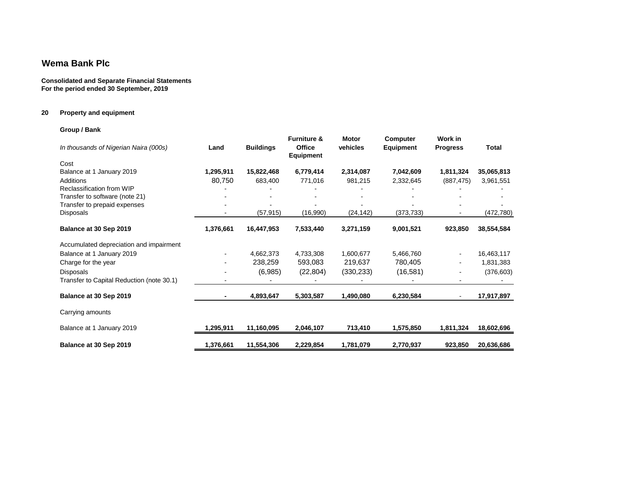#### **Consolidated and Separate Financial Statements For the period ended 30 September, 2019**

## **20 Property and equipment**

## **Group / Bank**

| In thousands of Nigerian Naira (000s)     | Land      | <b>Buildings</b> | <b>Furniture &amp;</b><br><b>Office</b><br>Equipment | <b>Motor</b><br>vehicles | Computer<br><b>Equipment</b> | Work in<br><b>Progress</b> | <b>Total</b> |
|-------------------------------------------|-----------|------------------|------------------------------------------------------|--------------------------|------------------------------|----------------------------|--------------|
| Cost                                      |           |                  |                                                      |                          |                              |                            |              |
| Balance at 1 January 2019                 | 1,295,911 | 15,822,468       | 6,779,414                                            | 2,314,087                | 7,042,609                    | 1,811,324                  | 35,065,813   |
| Additions                                 | 80,750    | 683,400          | 771,016                                              | 981,215                  | 2,332,645                    | (887, 475)                 | 3,961,551    |
| Reclassification from WIP                 |           |                  |                                                      |                          |                              |                            |              |
| Transfer to software (note 21)            |           |                  |                                                      |                          |                              |                            |              |
| Transfer to prepaid expenses              |           |                  |                                                      |                          |                              |                            |              |
| Disposals                                 |           | (57,915)         | (16,990)                                             | (24,142)                 | (373,733)                    |                            | (472,780)    |
| Balance at 30 Sep 2019                    | 1,376,661 | 16,447,953       | 7,533,440                                            | 3,271,159                | 9,001,521                    | 923,850                    | 38,554,584   |
| Accumulated depreciation and impairment   |           |                  |                                                      |                          |                              |                            |              |
| Balance at 1 January 2019                 |           | 4,662,373        | 4,733,308                                            | 1,600,677                | 5,466,760                    |                            | 16,463,117   |
| Charge for the year                       | ۰         | 238,259          | 593,083                                              | 219,637                  | 780,405                      | $\blacksquare$             | 1,831,383    |
| Disposals                                 |           | (6,985)          | (22, 804)                                            | (330, 233)               | (16, 581)                    |                            | (376, 603)   |
| Transfer to Capital Reduction (note 30.1) |           |                  |                                                      |                          |                              |                            |              |
| Balance at 30 Sep 2019                    | ٠         | 4,893,647        | 5,303,587                                            | 1,490,080                | 6,230,584                    |                            | 17,917,897   |
| Carrying amounts                          |           |                  |                                                      |                          |                              |                            |              |
| Balance at 1 January 2019                 | 1,295,911 | 11,160,095       | 2,046,107                                            | 713,410                  | 1,575,850                    | 1,811,324                  | 18,602,696   |
| Balance at 30 Sep 2019                    | 1,376,661 | 11,554,306       | 2,229,854                                            | 1,781,079                | 2,770,937                    | 923,850                    | 20,636,686   |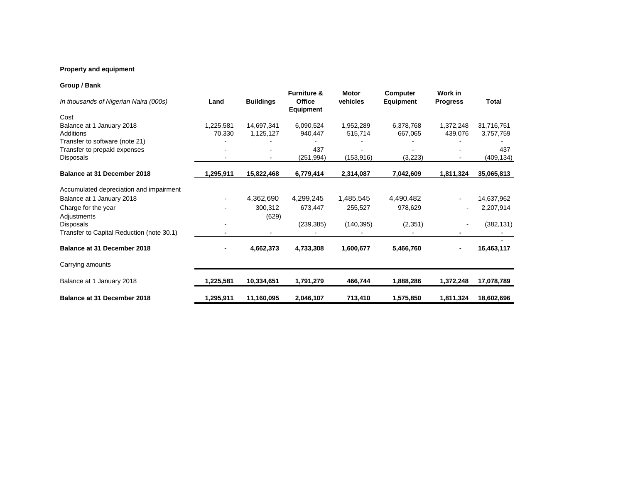## **Property and equipment**

## **Group / Bank**

| In thousands of Nigerian Naira (000s)     | Land      | <b>Buildings</b> | <b>Furniture &amp;</b><br><b>Office</b><br>Equipment | <b>Motor</b><br>vehicles | <b>Computer</b><br><b>Equipment</b> | Work in<br><b>Progress</b> | Total      |
|-------------------------------------------|-----------|------------------|------------------------------------------------------|--------------------------|-------------------------------------|----------------------------|------------|
| Cost                                      |           |                  |                                                      |                          |                                     |                            |            |
| Balance at 1 January 2018                 | 1,225,581 | 14,697,341       | 6,090,524                                            | 1,952,289                | 6,378,768                           | 1,372,248                  | 31,716,751 |
| Additions                                 | 70,330    | 1,125,127        | 940,447                                              | 515,714                  | 667,065                             | 439,076                    | 3,757,759  |
| Transfer to software (note 21)            |           |                  |                                                      |                          |                                     |                            |            |
| Transfer to prepaid expenses              |           |                  | 437                                                  |                          |                                     |                            | 437        |
| Disposals                                 |           |                  | (251, 994)                                           | (153, 916)               | (3,223)                             |                            | (409, 134) |
| Balance at 31 December 2018               | 1,295,911 | 15,822,468       | 6,779,414                                            | 2,314,087                | 7,042,609                           | 1,811,324                  | 35,065,813 |
| Accumulated depreciation and impairment   |           |                  |                                                      |                          |                                     |                            |            |
| Balance at 1 January 2018                 |           | 4,362,690        | 4,299,245                                            | 1,485,545                | 4,490,482                           |                            | 14,637,962 |
| Charge for the year                       |           | 300,312          | 673,447                                              | 255,527                  | 978,629                             |                            | 2,207,914  |
| Adjustments                               |           | (629)            |                                                      |                          |                                     |                            |            |
| Disposals                                 |           |                  | (239, 385)                                           | (140, 395)               | (2,351)                             |                            | (382, 131) |
| Transfer to Capital Reduction (note 30.1) |           |                  |                                                      |                          |                                     |                            |            |
| Balance at 31 December 2018               |           | 4,662,373        | 4,733,308                                            | 1,600,677                | 5,466,760                           |                            | 16,463,117 |
| Carrying amounts                          |           |                  |                                                      |                          |                                     |                            |            |
| Balance at 1 January 2018                 | 1,225,581 | 10,334,651       | 1,791,279                                            | 466,744                  | 1,888,286                           | 1,372,248                  | 17,078,789 |
| Balance at 31 December 2018               | 1,295,911 | 11,160,095       | 2,046,107                                            | 713,410                  | 1,575,850                           | 1,811,324                  | 18,602,696 |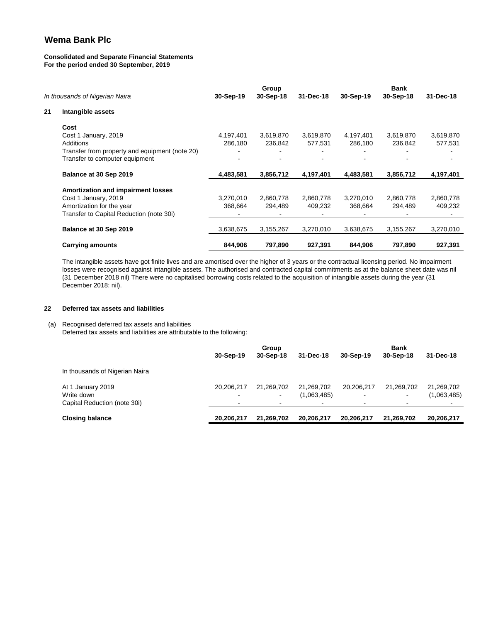#### **Consolidated and Separate Financial Statements For the period ended 30 September, 2019**

|    | In thousands of Nigerian Naira                 | 30-Sep-19 | Group<br>30-Sep-18 | 31-Dec-18 | 30-Sep-19 | Bank<br>30-Sep-18 | 31-Dec-18 |
|----|------------------------------------------------|-----------|--------------------|-----------|-----------|-------------------|-----------|
| 21 | Intangible assets                              |           |                    |           |           |                   |           |
|    | Cost                                           |           |                    |           |           |                   |           |
|    | Cost 1 January, 2019                           | 4,197,401 | 3,619,870          | 3,619,870 | 4,197,401 | 3,619,870         | 3,619,870 |
|    | <b>Additions</b>                               | 286,180   | 236,842            | 577,531   | 286.180   | 236,842           | 577,531   |
|    | Transfer from property and equipment (note 20) |           |                    |           |           |                   |           |
|    | Transfer to computer equipment                 |           |                    |           |           |                   |           |
|    | Balance at 30 Sep 2019                         | 4,483,581 | 3,856,712          | 4,197,401 | 4,483,581 | 3,856,712         | 4,197,401 |
|    | <b>Amortization and impairment losses</b>      |           |                    |           |           |                   |           |
|    | Cost 1 January, 2019                           | 3,270,010 | 2,860,778          | 2,860,778 | 3,270,010 | 2,860,778         | 2,860,778 |
|    | Amortization for the year                      | 368,664   | 294,489            | 409.232   | 368,664   | 294,489           | 409,232   |
|    | Transfer to Capital Reduction (note 30i)       |           |                    |           |           |                   |           |
|    | Balance at 30 Sep 2019                         | 3,638,675 | 3,155,267          | 3,270,010 | 3,638,675 | 3,155,267         | 3,270,010 |
|    | <b>Carrying amounts</b>                        | 844,906   | 797,890            | 927,391   | 844,906   | 797,890           | 927,391   |

The intangible assets have got finite lives and are amortised over the higher of 3 years or the contractual licensing period. No impairment losses were recognised against intangible assets. The authorised and contracted capital commitments as at the balance sheet date was nil (31 December 2018 nil) There were no capitalised borrowing costs related to the acquisition of intangible assets during the year (31 December 2018: nil).

#### **22 Deferred tax assets and liabilities**

#### (a) Recognised deferred tax assets and liabilities Deferred tax assets and liabilities are attributable to the following:

|                                            |            | Group      |                                         |                  | <b>Bank</b>              | 31-Dec-18             |
|--------------------------------------------|------------|------------|-----------------------------------------|------------------|--------------------------|-----------------------|
|                                            | 30-Sep-19  | 30-Sep-18  | 31-Dec-18                               | 30-Sep-19        | 30-Sep-18                |                       |
| In thousands of Nigerian Naira             |            |            |                                         |                  |                          |                       |
| At 1 January 2019                          | 20.206.217 | 21.269.702 | 21.269.702                              | 20.206.217       | 21,269,702               | 21,269,702            |
| Write down<br>Capital Reduction (note 30i) | $\sim$     | -<br>-     | (1,063,485)<br>$\overline{\phantom{a}}$ | $\sim$<br>$\sim$ | $\sim$<br>$\blacksquare$ | (1,063,485)<br>$\sim$ |
| <b>Closing balance</b>                     | 20,206,217 | 21.269.702 | 20.206.217                              | 20.206.217       | 21.269.702               | 20,206,217            |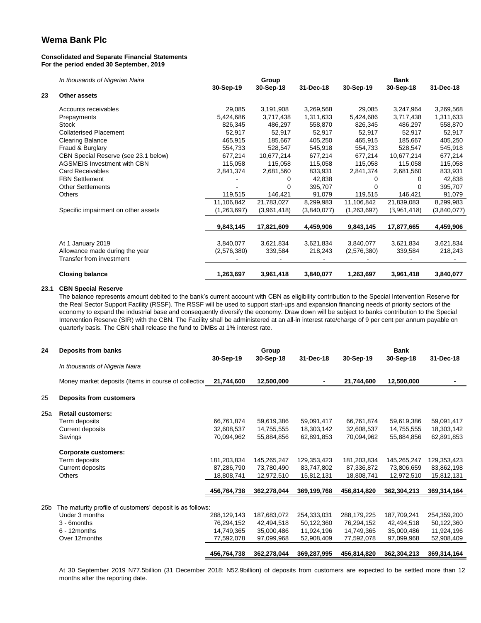#### **Consolidated and Separate Financial Statements For the period ended 30 September, 2019**

*In thousands of Nigerian Naira*

| In thousands of Nigerian Naira       |                                                     | Group                    |                      |                      |                          |                                     |
|--------------------------------------|-----------------------------------------------------|--------------------------|----------------------|----------------------|--------------------------|-------------------------------------|
|                                      | 30-Sep-19                                           | 30-Sep-18                | 31-Dec-18            | 30-Sep-19            | 30-Sep-18                | 31-Dec-18                           |
| <b>Other assets</b>                  |                                                     |                          |                      |                      |                          |                                     |
| Accounts receivables                 | 29,085                                              | 3,191,908                | 3,269,568            | 29,085               | 3,247,964                | 3,269,568                           |
| Prepayments                          | 5,424,686                                           | 3,717,438                | 1,311,633            | 5,424,686            | 3,717,438                | 1,311,633                           |
| Stock                                | 826,345                                             | 486,297                  | 558,870              | 826,345              | 486,297                  | 558,870                             |
| <b>Collaterised Placement</b>        | 52,917                                              | 52,917                   | 52,917               | 52,917               | 52,917                   | 52,917                              |
| <b>Clearing Balance</b>              | 465,915                                             | 185,667                  | 405,250              | 465,915              | 185,667                  | 405,250                             |
| Fraud & Burglary                     | 554,733                                             | 528,547                  | 545,918              | 554,733              | 528,547                  | 545,918                             |
| CBN Special Reserve (see 23.1 below) | 677,214                                             | 10,677,214               | 677,214              | 677,214              | 10,677,214               | 677,214                             |
| <b>AGSMEIS Investment with CBN</b>   | 115,058                                             | 115,058                  | 115,058              | 115,058              | 115,058                  | 115,058                             |
| <b>Card Receivables</b>              | 2,841,374                                           | 2,681,560                | 833,931              | 2,841,374            | 2,681,560                | 833,931                             |
| <b>FBN Settlement</b>                |                                                     | 0                        | 42,838               |                      | 0                        | 42,838                              |
| <b>Other Settlements</b>             |                                                     |                          | 395,707              |                      | 0                        | 395,707                             |
| <b>Others</b>                        | 119,515                                             | 146,421                  | 91,079               | 119,515              | 146,421                  | 91,079                              |
|                                      | 11,106,842                                          | 21,783,027               | 8,299,983            | 11,106,842           | 21,839,083               | 8,299,983                           |
| Specific impairment on other assets  | (1,263,697)                                         | (3,961,418)              | (3,840,077)          | (1,263,697)          | (3,961,418)              | (3,840,077)                         |
|                                      | 9,843,145                                           | 17,821,609               | 4,459,906            | 9,843,145            | 17,877,665               | 4,459,906                           |
|                                      |                                                     |                          |                      |                      |                          | 3,621,834                           |
|                                      |                                                     |                          |                      |                      |                          | 218,243                             |
| Transfer from investment             |                                                     |                          |                      |                      |                          |                                     |
| <b>Closing balance</b>               | 1,263,697                                           | 3,961,418                | 3,840,077            | 1,263,697            | 3,961,418                | 3,840,077                           |
|                                      | At 1 January 2019<br>Allowance made during the year | 3,840,077<br>(2,576,380) | 3,621,834<br>339,584 | 3,621,834<br>218,243 | 3,840,077<br>(2,576,380) | <b>Bank</b><br>3,621,834<br>339,584 |

#### **23.1 CBN Special Reserve**

The balance represents amount debited to the bank's current account with CBN as eligibility contribution to the Special Intervention Reserve for the Real Sector Support Facility (RSSF). The RSSF will be used to support start-ups and expansion financing needs of priority sectors of the economy to expand the industrial base and consequently diversify the economy. Draw down will be subject to banks contribution to the Special Intervention Reserve (SIR) with the CBN. The Facility shall be administered at an all-in interest rate/charge of 9 per cent per annum payable on quarterly basis. The CBN shall release the fund to DMBs at 1% interest rate.

| 24              | Deposits from banks                                       | 30-Sep-19   | Group<br>30-Sep-18 | 31-Dec-18   | 30-Sep-19   | <b>Bank</b><br>30-Sep-18 | 31-Dec-18   |
|-----------------|-----------------------------------------------------------|-------------|--------------------|-------------|-------------|--------------------------|-------------|
|                 | In thousands of Nigeria Naira                             |             |                    |             |             |                          |             |
|                 | Money market deposits (Items in course of collection      | 21,744,600  | 12,500,000         |             | 21,744,600  | 12,500,000               |             |
| 25              | <b>Deposits from customers</b>                            |             |                    |             |             |                          |             |
| 25a             | <b>Retail customers:</b>                                  |             |                    |             |             |                          |             |
|                 | Term deposits                                             | 66,761,874  | 59,619,386         | 59,091,417  | 66,761,874  | 59,619,386               | 59,091,417  |
|                 | Current deposits                                          | 32,608,537  | 14,755,555         | 18,303,142  | 32,608,537  | 14,755,555               | 18,303,142  |
|                 | Savings                                                   | 70,094,962  | 55,884,856         | 62,891,853  | 70,094,962  | 55,884,856               | 62,891,853  |
|                 | <b>Corporate customers:</b>                               |             |                    |             |             |                          |             |
|                 | Term deposits                                             | 181,203,834 | 145,265,247        | 129,353,423 | 181,203,834 | 145,265,247              | 129,353,423 |
|                 | Current deposits                                          | 87,286,790  | 73,780,490         | 83,747,802  | 87,336,872  | 73,806,659               | 83,862,198  |
|                 | <b>Others</b>                                             | 18,808,741  | 12,972,510         | 15,812,131  | 18,808,741  | 12,972,510               | 15,812,131  |
|                 |                                                           | 456,764,738 | 362,278,044        | 369,199,768 | 456,814,820 | 362,304,213              | 369,314,164 |
| 25 <sub>b</sub> | The maturity profile of customers' deposit is as follows: |             |                    |             |             |                          |             |
|                 | Under 3 months                                            | 288,129,143 | 187,683,072        | 254,333,031 | 288,179,225 | 187,709,241              | 254,359,200 |
|                 | 3 - 6months                                               | 76,294,152  | 42,494,518         | 50,122,360  | 76,294,152  | 42,494,518               | 50,122,360  |
|                 | $6 - 12$ months                                           | 14,749,365  | 35,000,486         | 11,924,196  | 14,749,365  | 35,000,486               | 11,924,196  |
|                 | Over 12months                                             | 77,592,078  | 97,099,968         | 52,908,409  | 77,592,078  | 97,099,968               | 52,908,409  |
|                 |                                                           | 456,764,738 | 362,278,044        | 369,287,995 | 456,814,820 | 362,304,213              | 369,314,164 |

At 30 September 2019 N77.5billion (31 December 2018: N52.9billion) of deposits from customers are expected to be settled more than 12 months after the reporting date.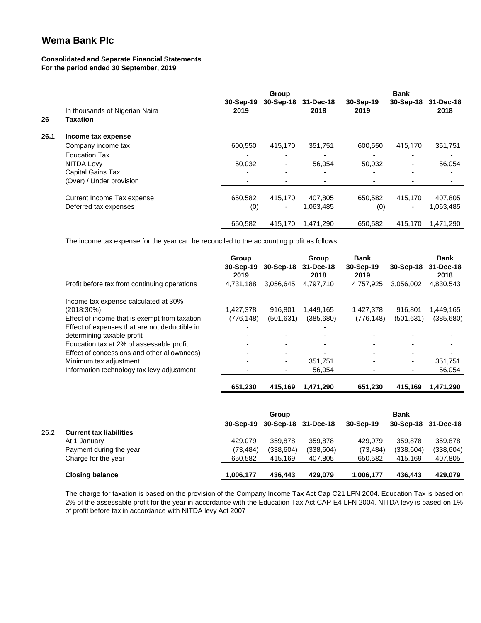### **Consolidated and Separate Financial Statements For the period ended 30 September, 2019**

|      |                                                   |                     | <b>Bank</b>              |                   |                   |           |                   |
|------|---------------------------------------------------|---------------------|--------------------------|-------------------|-------------------|-----------|-------------------|
| 26   | In thousands of Nigerian Naira<br><b>Taxation</b> | $30-Sep-19$<br>2019 | 30-Sep-18                | 31-Dec-18<br>2018 | 30-Sep-19<br>2019 | 30-Sep-18 | 31-Dec-18<br>2018 |
| 26.1 | Income tax expense                                |                     |                          |                   |                   |           |                   |
|      | Company income tax                                | 600,550             | 415,170                  | 351,751           | 600,550           | 415,170   | 351,751           |
|      | <b>Education Tax</b>                              |                     | ٠                        | ٠                 |                   |           |                   |
|      | NITDA Levy                                        | 50.032              | ۰                        | 56.054            | 50.032            | ۰.        | 56,054            |
|      | <b>Capital Gains Tax</b>                          |                     | $\overline{\phantom{0}}$ | ٠                 |                   |           |                   |
|      | (Over) / Under provision                          |                     |                          |                   |                   |           |                   |
|      | Current Income Tax expense                        | 650.582             | 415,170                  | 407,805           | 650.582           | 415,170   | 407,805           |
|      | Deferred tax expenses                             | (0)                 | $\overline{\phantom{a}}$ | 1,063,485         | (0)               |           | 1,063,485         |
|      |                                                   | 650,582             | 415,170                  | 1,471,290         | 650.582           | 415,170   | 1,471,290         |

The income tax expense for the year can be reconciled to the accounting profit as follows:

|                                               | Group<br>30-Sep-19<br>2019 | 30-Sep-18  | Group<br>31-Dec-18<br>2018 | <b>Bank</b><br>30-Sep-19<br>2019 | 30-Sep-18  | <b>Bank</b><br>31-Dec-18<br>2018 |
|-----------------------------------------------|----------------------------|------------|----------------------------|----------------------------------|------------|----------------------------------|
| Profit before tax from continuing operations  | 4.731.188                  | 3,056,645  | 4,797,710                  | 4,757,925                        | 3.056.002  | 4,830,543                        |
| Income tax expense calculated at 30%          |                            |            |                            |                                  |            |                                  |
| $(2018.30\%)$                                 | 1.427.378                  | 916.801    | 1,449,165                  | 1,427,378                        | 916.801    | 1,449,165                        |
| Effect of income that is exempt from taxation | (776, 148)                 | (501, 631) | (385, 680)                 | (776, 148)                       | (501, 631) | (385, 680)                       |
| Effect of expenses that are not deductible in | $\overline{\phantom{0}}$   |            |                            |                                  |            |                                  |
| determining taxable profit                    |                            |            |                            |                                  |            |                                  |
| Education tax at 2% of assessable profit      |                            |            |                            |                                  |            |                                  |
| Effect of concessions and other allowances)   |                            |            |                            |                                  |            | -                                |
| Minimum tax adjustment                        | $\blacksquare$             | ۰.         | 351.751                    |                                  | ۰          | 351,751                          |
| Information technology tax levy adjustment    |                            |            | 56,054                     |                                  |            | 56,054                           |
|                                               | 651.230                    | 415.169    | 1.471.290                  | 651.230                          | 415.169    | 1,471,290                        |

|      |                                |           | Group                         |            |           | <b>Bank</b> |                     |  |
|------|--------------------------------|-----------|-------------------------------|------------|-----------|-------------|---------------------|--|
|      |                                |           | 30-Sep-19 30-Sep-18 31-Dec-18 |            | 30-Sep-19 |             | 30-Sep-18 31-Dec-18 |  |
| 26.2 | <b>Current tax liabilities</b> |           |                               |            |           |             |                     |  |
|      | At 1 January                   | 429.079   | 359.878                       | 359,878    | 429.079   | 359,878     | 359,878             |  |
|      | Payment during the year        | (73, 484) | (338.604)                     | (338, 604) | (73, 484) | (338, 604)  | (338, 604)          |  |
|      | Charge for the year            | 650.582   | 415.169                       | 407,805    | 650.582   | 415.169     | 407,805             |  |
|      | <b>Closing balance</b>         | 1.006.177 | 436.443                       | 429.079    | 1,006,177 | 436.443     | 429.079             |  |

The charge for taxation is based on the provision of the Company Income Tax Act Cap C21 LFN 2004. Education Tax is based on 2% of the assessable profit for the year in accordance with the Education Tax Act CAP E4 LFN 2004. NITDA levy is based on 1% of profit before tax in accordance with NITDA levy Act 2007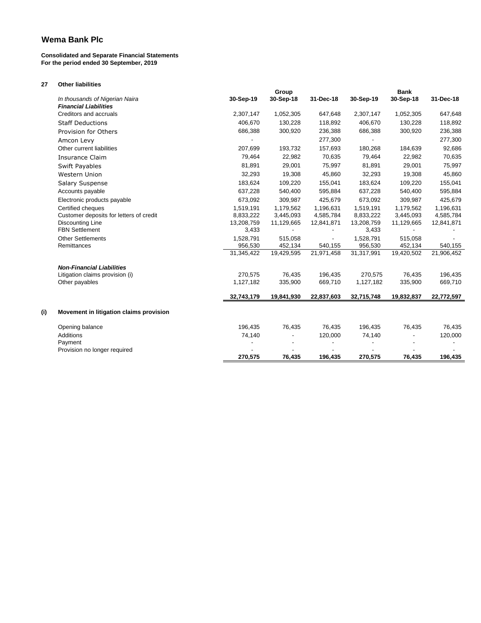#### **Consolidated and Separate Financial Statements For the period ended 30 September, 2019**

**27 Other liabilities**

|     |                                         |            | Group      |            |            | <b>Bank</b> |            |
|-----|-----------------------------------------|------------|------------|------------|------------|-------------|------------|
|     | In thousands of Nigerian Naira          | 30-Sep-19  | 30-Sep-18  | 31-Dec-18  | 30-Sep-19  | 30-Sep-18   | 31-Dec-18  |
|     | <b>Financial Liabilities</b>            |            |            |            |            |             |            |
|     | Creditors and accruals                  | 2,307,147  | 1,052,305  | 647,648    | 2,307,147  | 1,052,305   | 647,648    |
|     | <b>Staff Deductions</b>                 | 406,670    | 130,228    | 118,892    | 406,670    | 130,228     | 118,892    |
|     | Provision for Others                    | 686,388    | 300,920    | 236,388    | 686,388    | 300,920     | 236,388    |
|     | Amcon Levy                              |            |            | 277,300    |            |             | 277,300    |
|     | Other current liabilities               | 207,699    | 193,732    | 157,693    | 180,268    | 184,639     | 92,686     |
|     | Insurance Claim                         | 79,464     | 22,982     | 70,635     | 79,464     | 22,982      | 70,635     |
|     | <b>Swift Payables</b>                   | 81,891     | 29,001     | 75,997     | 81,891     | 29,001      | 75,997     |
|     | <b>Western Union</b>                    | 32,293     | 19,308     | 45,860     | 32,293     | 19,308      | 45,860     |
|     | <b>Salary Suspense</b>                  | 183,624    | 109,220    | 155,041    | 183,624    | 109,220     | 155,041    |
|     | Accounts payable                        | 637,228    | 540,400    | 595,884    | 637,228    | 540,400     | 595,884    |
|     | Electronic products payable             | 673,092    | 309,987    | 425,679    | 673,092    | 309,987     | 425,679    |
|     | Certified cheques                       | 1,519,191  | 1,179,562  | 1,196,631  | 1,519,191  | 1,179,562   | 1,196,631  |
|     | Customer deposits for letters of credit | 8,833,222  | 3,445,093  | 4,585,784  | 8,833,222  | 3,445,093   | 4,585,784  |
|     | <b>Discounting Line</b>                 | 13,208,759 | 11,129,665 | 12,841,871 | 13,208,759 | 11,129,665  | 12,841,871 |
|     | <b>FBN Settlement</b>                   | 3,433      | ٠          |            | 3,433      |             |            |
|     | <b>Other Settlements</b>                | 1,528,791  | 515,058    |            | 1,528,791  | 515,058     |            |
|     | Remittances                             | 956,530    | 452,134    | 540,155    | 956,530    | 452,134     | 540,155    |
|     |                                         | 31,345,422 | 19,429,595 | 21,971,458 | 31,317,991 | 19,420,502  | 21,906,452 |
|     | <b>Non-Financial Liabilities</b>        |            |            |            |            |             |            |
|     | Litigation claims provision (i)         | 270,575    | 76,435     | 196,435    | 270,575    | 76,435      | 196,435    |
|     | Other payables                          | 1,127,182  | 335,900    | 669,710    | 1,127,182  | 335,900     | 669,710    |
|     |                                         |            |            |            |            |             |            |
|     |                                         | 32,743,179 | 19,841,930 | 22,837,603 | 32,715,748 | 19,832,837  | 22,772,597 |
| (i) | Movement in litigation claims provision |            |            |            |            |             |            |
|     | Opening balance                         | 196,435    | 76,435     | 76,435     | 196,435    | 76,435      | 76,435     |
|     | Additions                               | 74,140     |            | 120,000    | 74,140     |             | 120,000    |
|     | Payment                                 |            |            |            |            |             |            |
|     | Provision no longer required            |            |            |            |            |             |            |
|     |                                         | 270.575    | 76,435     | 196,435    | 270.575    | 76,435      | 196,435    |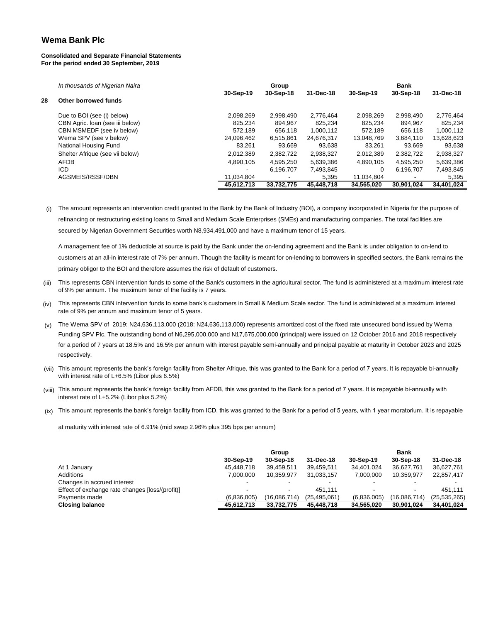#### **Consolidated and Separate Financial Statements For the period ended 30 September, 2019**

|    | In thousands of Nigerian Naira  |                          | <b>Bank</b>              |            |            |            |            |
|----|---------------------------------|--------------------------|--------------------------|------------|------------|------------|------------|
| 28 | Other borrowed funds            | 30-Sep-19                | 30-Sep-18                | 31-Dec-18  | 30-Sep-19  | 30-Sep-18  | 31-Dec-18  |
|    | Due to BOI (see (i) below)      | 2,098,269                | 2,998,490                | 2.776.464  | 2,098,269  | 2,998,490  | 2,776,464  |
|    | CBN Agric. Ioan (see iii below) | 825.234                  | 894.967                  | 825.234    | 825.234    | 894.967    | 825.234    |
|    | CBN MSMEDF (see iv below)       | 572.189                  | 656.118                  | 1.000.112  | 572.189    | 656.118    | 1,000,112  |
|    | Wema SPV (see v below)          | 24,096,462               | 6.515.861                | 24,676,317 | 13,048,769 | 3,684,110  | 13,628,623 |
|    | National Housing Fund           | 83,261                   | 93,669                   | 93,638     | 83.261     | 93.669     | 93,638     |
|    | Shelter Afrique (see vii below) | 2,012,389                | 2,382,722                | 2,938,327  | 2,012,389  | 2,382,722  | 2,938,327  |
|    | <b>AFDB</b>                     | 4.890.105                | 4.595.250                | 5.639.386  | 4.890.105  | 4.595.250  | 5,639,386  |
|    | ICD                             | $\overline{\phantom{a}}$ | 6.196.707                | 7.493.845  | 0          | 6.196.707  | 7,493,845  |
|    | AGSMEIS/RSSF/DBN                | 11,034,804               | $\overline{\phantom{a}}$ | 5,395      | 11,034,804 |            | 5,395      |
|    |                                 | 45.612.713               | 33.732.775               | 45.448.718 | 34.565.020 | 30.901.024 | 34.401.024 |

(i) The amount represents an intervention credit granted to the Bank by the Bank of Industry (BOI), a company incorporated in Nigeria for the purpose of refinancing or restructuring existing loans to Small and Medium Scale Enterprises (SMEs) and manufacturing companies. The total facilities are secured by Nigerian Government Securities worth N8,934,491,000 and have a maximum tenor of 15 years.

A management fee of 1% deductible at source is paid by the Bank under the on-lending agreement and the Bank is under obligation to on-lend to customers at an all-in interest rate of 7% per annum. Though the facility is meant for on-lending to borrowers in specified sectors, the Bank remains the primary obligor to the BOI and therefore assumes the risk of default of customers.

- (iii) This represents CBN intervention funds to some of the Bank's customers in the agricultural sector. The fund is administered at a maximum interest rate of 9% per annum. The maximum tenor of the facility is 7 years.
- $(iv)$  This represents CBN intervention funds to some bank's customers in Small & Medium Scale sector. The fund is administered at a maximum interest rate of 9% per annum and maximum tenor of 5 years.
- $_{(v)}$  The Wema SPV of 2019: N24,636,113,000 (2018: N24,636,113,000) represents amortized cost of the fixed rate unsecured bond issued by Wema Funding SPV Plc. The outstanding bond of N6,295,000,000 and N17,675,000,000 (principal) were issued on 12 October 2016 and 2018 respectively for a period of 7 years at 18.5% and 16.5% per annum with interest payable semi-annually and principal payable at maturity in October 2023 and 2025 respectively.
- (vii) This amount represents the bank's foreign facility from Shelter Afrique, this was granted to the Bank for a period of 7 years. It is repayable bi-annually with interest rate of L+6.5% (Libor plus 6.5%)
- (viii) This amount represents the bank's foreign facility from AFDB, this was granted to the Bank for a period of 7 years. It is repayable bi-annually with interest rate of L+5.2% (Libor plus 5.2%)
- (ix) This amount represents the bank's foreign facility from ICD, this was granted to the Bank for a period of 5 years, with 1 year moratorium. It is repayable

at maturity with interest rate of 6.91% (mid swap 2.96% plus 395 bps per annum)

|                                                 | Group       |                          |                | <b>Bank</b> |              |                |
|-------------------------------------------------|-------------|--------------------------|----------------|-------------|--------------|----------------|
|                                                 | 30-Sep-19   | 30-Sep-18                | 31-Dec-18      | 30-Sep-19   | 30-Sep-18    | 31-Dec-18      |
| At 1 January                                    | 45,448,718  | 39,459,511               | 39,459,511     | 34,401,024  | 36,627,761   | 36,627,761     |
| Additions                                       | 7.000.000   | 10.359.977               | 31,033,157     | 7.000.000   | 10.359.977   | 22,857,417     |
| Changes in accrued interest                     |             | $\overline{\phantom{a}}$ |                |             |              |                |
| Effect of exchange rate changes [loss/(profit)] |             | $\overline{\phantom{a}}$ | 451.111        |             | -            | 451.111        |
| Payments made                                   | (6,836,005) | (16,086,714)             | (25, 495, 061) | (6,836,005) | (16,086,714) | (25, 535, 265) |
| <b>Closing balance</b>                          | 45.612.713  | 33.732.775               | 45.448.718     | 34,565,020  | 30.901.024   | 34.401.024     |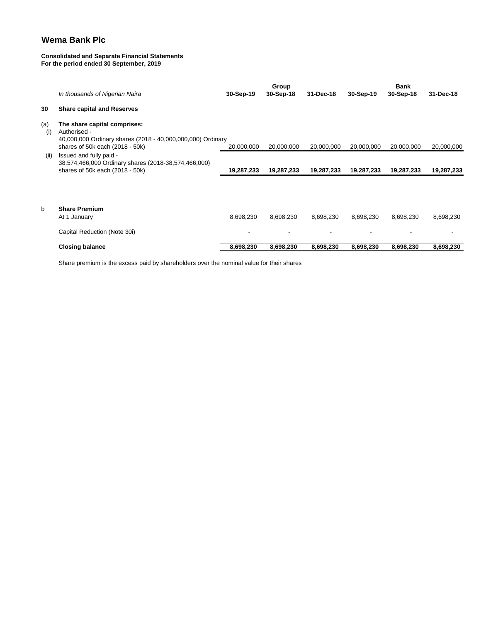#### **Consolidated and Separate Financial Statements For the period ended 30 September, 2019**

|            |                                                                                                                    |            | <b>Group</b> |            | <b>Bank</b> |            |            |  |
|------------|--------------------------------------------------------------------------------------------------------------------|------------|--------------|------------|-------------|------------|------------|--|
|            | In thousands of Nigerian Naira                                                                                     | 30-Sep-19  | 30-Sep-18    | 31-Dec-18  | 30-Sep-19   | 30-Sep-18  | 31-Dec-18  |  |
| 30         | <b>Share capital and Reserves</b>                                                                                  |            |              |            |             |            |            |  |
| (a)<br>(i) | The share capital comprises:<br>Authorised -<br>40,000,000 Ordinary shares (2018 - 40,000,000,000) Ordinary        |            |              |            |             |            |            |  |
|            | shares of 50k each (2018 - 50k)                                                                                    | 20,000,000 | 20,000,000   | 20,000,000 | 20,000,000  | 20,000,000 | 20,000,000 |  |
| (ii)       | Issued and fully paid -<br>38,574,466,000 Ordinary shares (2018-38,574,466,000)<br>shares of 50k each (2018 - 50k) | 19,287,233 | 19,287,233   | 19,287,233 | 19,287,233  | 19,287,233 | 19,287,233 |  |
|            |                                                                                                                    |            |              |            |             |            |            |  |
| b          | <b>Share Premium</b><br>At 1 January                                                                               | 8,698,230  | 8,698,230    | 8,698,230  | 8,698,230   | 8,698,230  | 8,698,230  |  |
|            | Capital Reduction (Note 30i)                                                                                       |            |              |            |             |            |            |  |
|            | <b>Closing balance</b>                                                                                             | 8,698,230  | 8,698,230    | 8,698,230  | 8,698,230   | 8,698,230  | 8,698,230  |  |
|            |                                                                                                                    |            |              |            |             |            |            |  |

Share premium is the excess paid by shareholders over the nominal value for their shares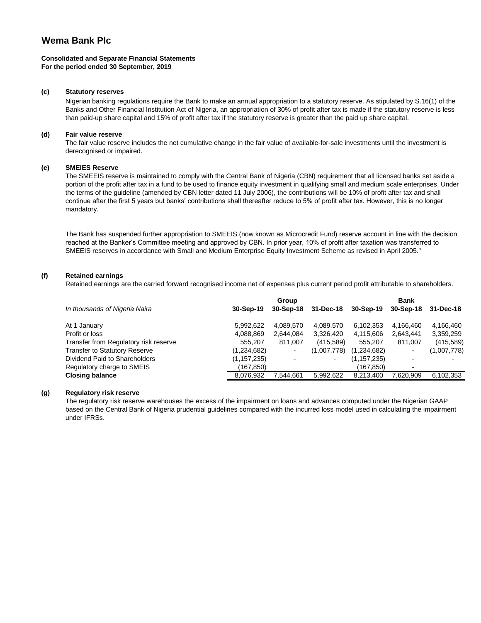#### **Consolidated and Separate Financial Statements For the period ended 30 September, 2019**

#### **(c) Statutory reserves**

Nigerian banking regulations require the Bank to make an annual appropriation to a statutory reserve. As stipulated by S.16(1) of the Banks and Other Financial Institution Act of Nigeria, an appropriation of 30% of profit after tax is made if the statutory reserve is less than paid-up share capital and 15% of profit after tax if the statutory reserve is greater than the paid up share capital.

#### **(d) Fair value reserve**

The fair value reserve includes the net cumulative change in the fair value of available-for-sale investments until the investment is derecognised or impaired.

#### **(e) SMEIES Reserve**

The SMEEIS reserve is maintained to comply with the Central Bank of Nigeria (CBN) requirement that all licensed banks set aside a portion of the profit after tax in a fund to be used to finance equity investment in qualifying small and medium scale enterprises. Under the terms of the guideline (amended by CBN letter dated 11 July 2006), the contributions will be 10% of profit after tax and shall continue after the first 5 years but banks' contributions shall thereafter reduce to 5% of profit after tax. However, this is no longer mandatory.

The Bank has suspended further appropriation to SMEEIS (now known as Microcredit Fund) reserve account in line with the decision reached at the Banker's Committee meeting and approved by CBN. In prior year, 10% of profit after taxation was transferred to SMEEIS reserves in accordance with Small and Medium Enterprise Equity Investment Scheme as revised in April 2005."

#### **(f) Retained earnings**

Retained earnings are the carried forward recognised income net of expenses plus current period profit attributable to shareholders.

|                                       | Group         |                          |                |               | <b>Bank</b>              |             |  |
|---------------------------------------|---------------|--------------------------|----------------|---------------|--------------------------|-------------|--|
| In thousands of Nigeria Naira         | 30-Sep-19     | 30-Sep-18                | 31-Dec-18      | 30-Sep-19     | 30-Sep-18                | 31-Dec-18   |  |
| At 1 January                          | 5,992,622     | 4,089,570                | 4,089,570      | 6,102,353     | 4,166,460                | 4,166,460   |  |
| Profit or loss                        | 4,088,869     | 2,644,084                | 3,326,420      | 4,115,606     | 2,643,441                | 3,359,259   |  |
| Transfer from Regulatory risk reserve | 555,207       | 811.007                  | (415, 589)     | 555,207       | 811.007                  | (415, 589)  |  |
| <b>Transfer to Statutory Reserve</b>  | (1,234,682)   | $\overline{\phantom{0}}$ | (1,007,778)    | (1,234,682)   |                          | (1,007,778) |  |
| Dividend Paid to Shareholders         | (1, 157, 235) |                          | $\blacksquare$ | (1, 157, 235) |                          |             |  |
| Regulatory charge to SMEIS            | (167, 850)    |                          |                | (167.850)     | $\overline{\phantom{0}}$ |             |  |
| <b>Closing balance</b>                | 8,076,932     | 7,544,661                | 5,992,622      | 8,213,400     | 7.620.909                | 6,102,353   |  |

#### **(g) Regulatory risk reserve**

The regulatory risk reserve warehouses the excess of the impairment on loans and advances computed under the Nigerian GAAP based on the Central Bank of Nigeria prudential guidelines compared with the incurred loss model used in calculating the impairment under IFRSs.